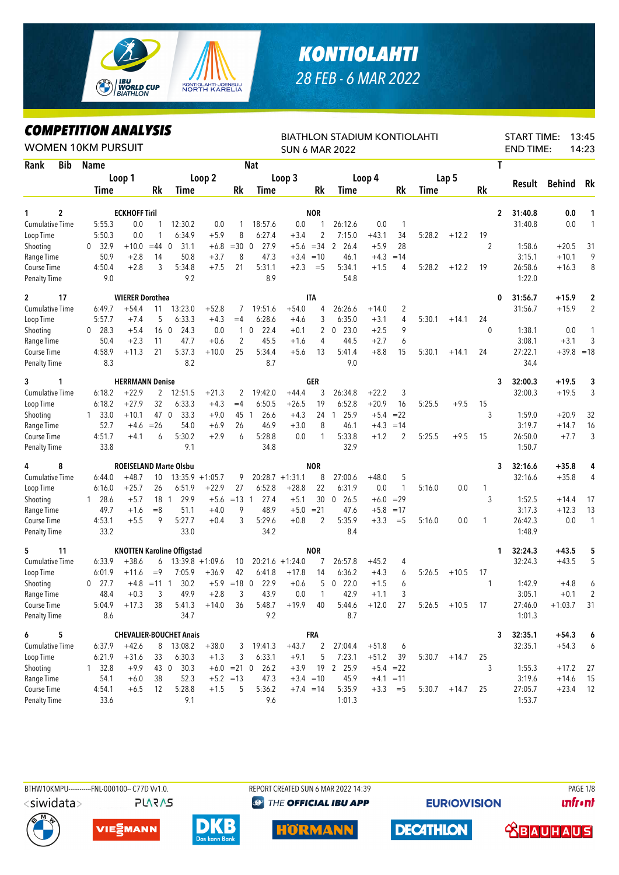

## **KONTIOLAHTI** 28 FEB - 6 MAR 2022

## **COMPETITION ANALYSIS**

| <i><b>COMPEILION ANALYSIS</b></i><br><b>WOMEN 10KM PURSUIT</b> |     |                      |                        |                |                                   |         |                 |                     |                    |                | <b>BIATHLON STADIUM KONTIOLAHTI</b><br><b>SUN 6 MAR 2022</b> |         |                |        |                  |                | <b>START TIME:</b><br><b>END TIME:</b> |        |               | 13:45<br>14:23 |
|----------------------------------------------------------------|-----|----------------------|------------------------|----------------|-----------------------------------|---------|-----------------|---------------------|--------------------|----------------|--------------------------------------------------------------|---------|----------------|--------|------------------|----------------|----------------------------------------|--------|---------------|----------------|
| Rank                                                           | Bib | <b>Name</b>          |                        |                |                                   |         |                 | <b>Nat</b>          |                    |                |                                                              |         |                |        |                  |                | T                                      |        |               |                |
|                                                                |     |                      | Loop 1                 |                |                                   | Loop 2  |                 |                     | Loop 3             |                |                                                              | Loop 4  |                |        | Lap <sub>5</sub> |                |                                        |        |               |                |
|                                                                |     | <b>Time</b>          |                        | Rk             | Time                              |         | Rk              | Time                |                    | Rk             | Time                                                         |         | Rk             | Time   |                  | Rk             |                                        | Result | <b>Behind</b> | Rk             |
| 2<br>1                                                         |     |                      | <b>ECKHOFF Tiril</b>   |                |                                   |         |                 |                     |                    | <b>NOR</b>     |                                                              |         |                |        |                  |                | 2<br>31:40.8                           |        | 0.0           | 1              |
| <b>Cumulative Time</b>                                         |     | 5:55.3               | 0.0                    | 1              | 12:30.2                           | 0.0     | 1               | 18:57.6             | 0.0                | 1              | 26:12.6                                                      | 0.0     | $\mathbf{1}$   |        |                  |                | 31:40.8                                |        | 0.0           | 1              |
| Loop Time                                                      |     | 5:50.3               | 0.0                    |                | 6:34.9                            | $+5.9$  | 8               | 6:27.4              | $+3.4$             | $\overline{2}$ | 7:15.0                                                       | $+43.1$ | 34             | 5:28.2 | $+12.2$          | 19             |                                        |        |               |                |
| Shooting                                                       |     | 32.9<br>$\mathbf{0}$ | $+10.0$                | $=44$          | 31.1<br>- 0                       | $+6.8$  | $=30$           | 0<br>27.9           |                    | $+5.6 = 34$    | 2<br>26.4                                                    | $+5.9$  | 28             |        |                  | $\overline{2}$ |                                        | 1:58.6 | $+20.5$       | 31             |
| Range Time                                                     |     | 50.9                 | $+2.8$                 | 14             | 50.8                              | $+3.7$  | 8               | 47.3                |                    | $+3.4 = 10$    | 46.1                                                         | $+4.3$  | $=14$          |        |                  |                |                                        | 3:15.1 | $+10.1$       | 9              |
| Course Time                                                    |     | 4:50.4               | $+2.8$                 | 3              | 5:34.8                            | $+7.5$  | 21              | 5:31.1              | $+2.3$             | $=$ 5          | 5:34.1                                                       | $+1.5$  | 4              | 5:28.2 | $+12.2$          | 19             | 26:58.6                                |        | $+16.3$       | 8              |
| <b>Penalty Time</b>                                            |     | 9.0                  |                        |                | 9.2                               |         |                 | 8.9                 |                    |                | 54.8                                                         |         |                |        |                  |                |                                        | 1:22.0 |               |                |
| $\mathbf{2}$<br>17                                             |     |                      | <b>WIERER Dorothea</b> |                |                                   |         |                 |                     |                    | <b>ITA</b>     |                                                              |         |                |        |                  |                | 31:56.7<br>0                           |        | $+15.9$       | 2              |
| <b>Cumulative Time</b>                                         |     | 6:49.7               | $+54.4$                | 11             | 13:23.0                           | $+52.8$ | 7               | 19:51.6             | $+54.0$            | 4              | 26:26.6                                                      | $+14.0$ | $\overline{c}$ |        |                  |                | 31:56.7                                |        | $+15.9$       | $\overline{2}$ |
| Loop Time                                                      |     | 5:57.7               | $+7.4$                 | 5              | 6:33.3                            | $+4.3$  | $=4$            | 6:28.6              | $+4.6$             | 3              | 6:35.0                                                       | $+3.1$  | 4              | 5:30.1 | $+14.1$          | 24             |                                        |        |               |                |
| Shooting                                                       |     | $0$ 28.3             | $+5.4$                 | 16             | $\overline{0}$<br>24.3            | 0.0     | $\mathbf{1}$    | 22.4<br>$\mathbf 0$ | $+0.1$             | 2              | $0$ 23.0                                                     | $+2.5$  | 9              |        |                  | $\mathbf{0}$   |                                        | 1:38.1 | 0.0           | 1              |
| Range Time                                                     |     | 50.4                 | $+2.3$                 | 11             | 47.7                              | $+0.6$  | $\overline{2}$  | 45.5                | $+1.6$             | 4              | 44.5                                                         | $+2.7$  | 6              |        |                  |                |                                        | 3:08.1 | $+3.1$        | 3              |
| Course Time                                                    |     | 4:58.9               | $+11.3$                | 21             | 5:37.3                            | $+10.0$ | 25              | 5:34.4              | $+5.6$             | 13             | 5:41.4                                                       | $+8.8$  | 15             | 5:30.1 | $+14.1$          | 24             | 27:22.1                                |        | $+39.8$       | $=18$          |
| <b>Penalty Time</b>                                            |     | 8.3                  |                        |                | 8.2                               |         |                 | 8.7                 |                    |                | 9.0                                                          |         |                |        |                  |                |                                        | 34.4   |               |                |
| 3<br>1                                                         |     |                      | <b>HERRMANN Denise</b> |                |                                   |         |                 |                     |                    | GER            |                                                              |         |                |        |                  |                | 32:00.3<br>3                           |        | $+19.5$       | 3              |
| <b>Cumulative Time</b>                                         |     | 6:18.2               | $+22.9$                | 2              | 12:51.5                           | $+21.3$ | 2               | 19:42.0             | $+44.4$            | 3              | 26:34.8                                                      | $+22.2$ | 3              |        |                  |                | 32:00.3                                |        | $+19.5$       | 3              |
| Loop Time                                                      |     | 6:18.2               | $+27.9$                | 32             | 6:33.3                            | $+4.3$  | $=4$            | 6:50.5              | $+26.5$            | 19             | 6:52.8                                                       | $+20.9$ | 16             | 5:25.5 | $+9.5$           | 15             |                                        |        |               |                |
| Shooting                                                       |     | $1 \quad 33.0$       | $+10.1$                | 47 0           | 33.3                              | $+9.0$  | 45 1            | 26.6                | $+4.3$             | 24             | 25.9<br>1                                                    | $+5.4$  | $= 22$         |        |                  | 3              |                                        | 1:59.0 | $+20.9$       | 32             |
| Range Time                                                     |     | 52.7                 | $+4.6$                 | $=26$          | 54.0                              | $+6.9$  | 26              | 46.9                | $+3.0$             | 8              | 46.1                                                         | $+4.3$  | $=14$          |        |                  |                |                                        | 3:19.7 | $+14.7$       | 16             |
| Course Time                                                    |     | 4:51.7               | $+4.1$                 | 6              | 5:30.2                            | $+2.9$  | 6               | 5:28.8              | 0.0                | 1              | 5:33.8                                                       | $+1.2$  | 2              | 5:25.5 | $+9.5$           | 15             | 26:50.0                                |        | $+7.7$        | 3              |
| <b>Penalty Time</b>                                            |     | 33.8                 |                        |                | 9.1                               |         |                 | 34.8                |                    |                | 32.9                                                         |         |                |        |                  |                |                                        | 1:50.7 |               |                |
| 4<br>8                                                         |     |                      |                        |                | <b>ROEISELAND Marte Olsbu</b>     |         |                 |                     |                    | <b>NOR</b>     |                                                              |         |                |        |                  |                | 32:16.6<br>3                           |        | $+35.8$       | 4              |
| <b>Cumulative Time</b>                                         |     | 6:44.0               | $+48.7$                | 10             | $13:35.9 + 1:05.7$                |         | 9               |                     | $20:28.7 +1:31.1$  | 8              | 27:00.6                                                      | $+48.0$ | 5              |        |                  |                | 32:16.6                                |        | $+35.8$       | 4              |
| Loop Time                                                      |     | 6:16.0               | $+25.7$                | 26             | 6:51.9                            | $+22.9$ | 27              | 6:52.8              | $+28.8$            | 22             | 6:31.9                                                       | 0.0     | 1              | 5:16.0 | 0.0              | 1              |                                        |        |               |                |
| Shooting                                                       |     | $1\quad 28.6$        | $+5.7$                 | 18 1           | 29.9                              | $+5.6$  | $=13 \quad 1$   | 27.4                | $+5.1$             | 30             | 0, 26.5                                                      |         | $+6.0 = 29$    |        |                  | 3              |                                        | 1:52.5 | $+14.4$       | 17             |
| Range Time                                                     |     | 49.7                 | $+1.6$                 | $=8$           | 51.1                              | $+4.0$  | 9               | 48.9                | $+5.0$             | $= 21$         | 47.6                                                         | $+5.8$  | $=17$          |        |                  |                |                                        | 3:17.3 | $+12.3$       | 13             |
| Course Time                                                    |     | 4:53.1               | $+5.5$                 | 9              | 5:27.7                            | $+0.4$  | 3               | 5:29.6              | $+0.8$             | $\overline{2}$ | 5:35.9                                                       | $+3.3$  | $=$ 5          | 5:16.0 | 0.0              | 1              | 26:42.3                                |        | 0.0           | $\mathbf{1}$   |
| <b>Penalty Time</b>                                            |     | 33.2                 |                        |                | 33.0                              |         |                 | 34.2                |                    |                | 8.4                                                          |         |                |        |                  |                |                                        | 1:48.9 |               |                |
| 5<br>11                                                        |     |                      |                        |                | <b>KNOTTEN Karoline Offigstad</b> |         |                 |                     |                    | <b>NOR</b>     |                                                              |         |                |        |                  |                | 32:24.3<br>1                           |        | $+43.5$       | 5              |
| Cumulative Time                                                |     | 6:33.9               | $+38.6$                | 6              | $13:39.8 + 1:09.6$                |         | 10              |                     | $20:21.6 + 1:24.0$ | 7              | 26:57.8                                                      | $+45.2$ | 4              |        |                  |                | 32:24.3                                |        | $+43.5$       | 5              |
| Loop Time                                                      |     | 6:01.9               | $+11.6$                | $=9$           | 7:05.9                            | $+36.9$ | 42              | 6:41.8              | $+17.8$            | 14             | 6:36.2                                                       | $+4.3$  | 6              | 5:26.5 | $+10.5$          | 17             |                                        |        |               |                |
| Shooting                                                       |     | $0$ 27.7             |                        | $+4.8$ = 11 1  | 30.2                              | $+5.9$  | $=18$ 0         | 22.9                | $+0.6$             | 5              | $0$ 22.0                                                     | $+1.5$  | 6              |        |                  | 1              |                                        | 1:42.9 | $+4.8$        | 6              |
| Range Time                                                     |     | 48.4                 | $+0.3$                 | $\mathfrak{Z}$ | 49.9                              | $+2.8$  | 3               | 43.9                | $0.0\,$            | $\overline{1}$ | 42.9                                                         | $+1.1$  | 3              |        |                  |                |                                        | 3:05.1 | $+0.1$        | $\mathfrak{p}$ |
| Course Time                                                    |     | 5:04.9               | $+17.3$                | 38             | 5:41.3                            | $+14.0$ | 36              | 5:48.7              | $+19.9$            | 40             | 5:44.6                                                       | $+12.0$ | 27             |        | $5:26.5$ +10.5   | 17             | 27:46.0                                |        | $+1:03.7$     | 31             |
| <b>Penalty Time</b>                                            |     | 8.6                  |                        |                | 34.7                              |         |                 | 9.2                 |                    |                | 8.7                                                          |         |                |        |                  |                |                                        | 1:01.3 |               |                |
| 6<br>5                                                         |     |                      |                        |                | <b>CHEVALIER-BOUCHET Anais</b>    |         |                 |                     |                    | <b>FRA</b>     |                                                              |         |                |        |                  |                | 32:35.1<br>3                           |        | $+54.3$       | 6              |
| <b>Cumulative Time</b>                                         |     | 6:37.9               | $+42.6$                |                | 8 13:08.2                         | $+38.0$ |                 | 3 19:41.3           | $+43.7$            | 2              | 27:04.4                                                      | $+51.8$ | 6              |        |                  |                | 32:35.1                                |        | $+54.3$       | 6              |
| Loop Time                                                      |     | 6:21.9               | $+31.6$                | 33             | 6:30.3                            | $+1.3$  | 3               | 6:33.1              | $+9.1$             | 5              | 7:23.1                                                       | $+51.2$ | 39             | 5:30.7 | $+14.7$          | 25             |                                        |        |               |                |
| Shooting                                                       |     | $1 \quad 32.8$       | $+9.9$                 | 43 0           | 30.3                              |         | $+6.0 = 21 \ 0$ | 26.2                | $+3.9$             |                | 19 2 25.9                                                    |         | $+5.4 = 22$    |        |                  | 3              |                                        | 1:55.3 | $+17.2$       | 27             |
| Range Time                                                     |     | 54.1                 | $+6.0$                 | 38             | 52.3                              |         | $+5.2 = 13$     | 47.3                |                    | $+3.4 = 10$    | 45.9                                                         |         | $+4.1 = 11$    |        |                  |                |                                        | 3:19.6 | $+14.6$       | 15             |
| Course Time                                                    |     | 4:54.1               | $+6.5$                 | 12             | 5:28.8                            | $+1.5$  | 5               | 5:36.2              |                    | $+7.4 = 14$    | 5:35.9                                                       |         | $+3.3 = 5$     |        | $5:30.7 +14.7$   | 25             | 27:05.7                                |        | $+23.4$       | 12             |
| <b>Penalty Time</b>                                            |     | 33.6                 |                        |                | 9.1                               |         |                 | 9.6                 |                    |                | 1:01.3                                                       |         |                |        |                  |                |                                        | 1:53.7 |               |                |



BTHW10KMPU------------FNL-000100-- C77D Vv1.0. **PLARAS**  REPORT CREATED SUN 6 MAR 2022 14:39 **@ THE OFFICIAL IBU APP** 

**EURIO)VISION** 

**PAGE 1/8 unfront** 











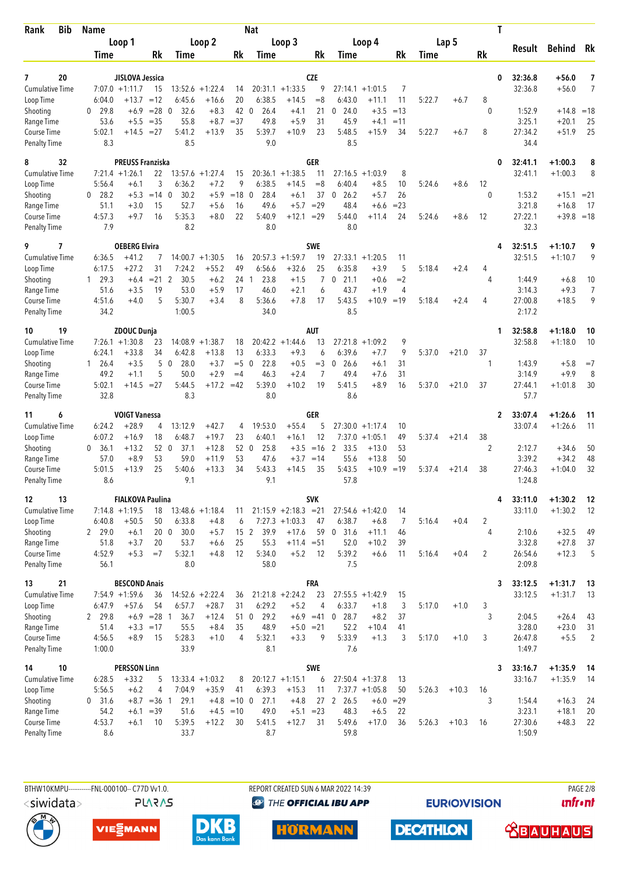| <b>Bib</b><br>Rank                 | <b>Name</b>          |                                      |                        |                               |                    |                        | <b>Nat</b>                       |                         |                  |                                |                      |                |        |         | Τ                    |                    |                        |                |
|------------------------------------|----------------------|--------------------------------------|------------------------|-------------------------------|--------------------|------------------------|----------------------------------|-------------------------|------------------|--------------------------------|----------------------|----------------|--------|---------|----------------------|--------------------|------------------------|----------------|
|                                    |                      | Loop 1                               |                        |                               | Loop 2             |                        |                                  | Loop 3                  |                  |                                | Loop 4               |                |        | Lap 5   |                      | Result             | <b>Behind</b>          | Rk             |
|                                    | Time                 |                                      | Rk                     | <b>Time</b>                   |                    | Rk                     | Time                             |                         | Rk               | Time                           |                      | Rk             | Time   |         | Rk                   |                    |                        |                |
|                                    |                      |                                      |                        |                               |                    |                        |                                  |                         | <b>CZE</b>       |                                |                      |                |        |         |                      |                    |                        | 7              |
| 20<br>7<br><b>Cumulative Time</b>  |                      | JISLOVA Jessica<br>$7:07.0 + 1:11.7$ | 15                     | 13:52.6                       | $+1:22.4$          | 14                     |                                  | $20:31.1 + 1:33.5$      | 9                | 27:14.1                        | $+1:01.5$            | 7              |        |         | 0                    | 32:36.8<br>32:36.8 | $+56.0$<br>$+56.0$     | 7              |
| Loop Time                          | 6:04.0               | $+13.7$                              | $=12$                  | 6:45.6                        | $+16.6$            | 20                     | 6:38.5                           | $+14.5$                 | $=8$             | 6:43.0                         | $+11.1$              | 11             | 5:22.7 | $+6.7$  | 8                    |                    |                        |                |
| Shooting                           | 29.8<br>0            | $+6.9$                               | $= 28$                 | 32.6<br>$\mathbf{0}$          | $+8.3$             | 42                     | $\overline{0}$<br>26.4           | $+4.1$                  | 21               | 24.0<br>0                      | $+3.5$               | $=13$          |        |         | $\theta$             | 1:52.9             | $+14.8$                | $=18$          |
| Range Time                         | 53.6                 | $+5.5$                               | $=35$                  | 55.8                          | $+8.7$             | $=37$                  | 49.8                             | $+5.9$                  | 31               | 45.9                           | $+4.1$               | $=11$          |        |         |                      | 3:25.1             | $+20.1$                | 25             |
| Course Time<br><b>Penalty Time</b> | 5:02.1<br>8.3        | $+14.5$                              | $= 27$                 | 5:41.2<br>8.5                 | $+13.9$            | 35                     | 5:39.7<br>9.0                    | $+10.9$                 | 23               | 5:48.5<br>8.5                  | $+15.9$              | 34             | 5:22.7 | $+6.7$  | 8                    | 27:34.2<br>34.4    | $+51.9$                | 25             |
| 32<br>8                            |                      | <b>PREUSS Franziska</b>              |                        |                               |                    |                        |                                  |                         | <b>GER</b>       |                                |                      |                |        |         | 0                    | 32:41.1            | $+1:00.3$              | 8              |
| <b>Cumulative Time</b>             |                      | $7:21.4 +1:26.1$                     | 22                     |                               | $13:57.6 + 1:27.4$ | 15                     | 20:36.1                          | $+1:38.5$               | 11               | 27:16.5                        | $+1:03.9$            | 8              |        |         |                      | 32:41.1            | $+1:00.3$              | 8              |
| Loop Time                          | 5:56.4<br>28.2<br>0  | $+6.1$<br>$+5.3$                     | 3<br>$=14$ 0           | 6:36.2<br>30.2                | $+7.2$<br>$+5.9$   | 9<br>$=18$             | 6:38.5<br>28.4<br>$\overline{0}$ | $+14.5$                 | $= 8$<br>37      | 6:40.4<br>26.2<br>$\mathbf 0$  | $+8.5$<br>$+5.7$     | 10<br>26       | 5:24.6 | $+8.6$  | 12<br>0              | 1:53.2             |                        | $= 21$         |
| Shooting<br>Range Time             | 51.1                 | $+3.0$                               | 15                     | 52.7                          | $+5.6$             | 16                     | 49.6                             | $+6.1$<br>$+5.7$        | $=29$            | 48.4                           | $+6.6$               | $= 23$         |        |         |                      | 3:21.8             | $+15.1$<br>$+16.8$     | 17             |
| Course Time                        | 4:57.3               | $+9.7$                               | 16                     | 5:35.3                        | $+8.0$             | 22                     | 5:40.9                           | $+12.1$                 | $=29$            | 5:44.0                         | +11.4                | 24             | 5:24.6 | $+8.6$  | 12                   | 27:22.1            | $+39.8 = 18$           |                |
| <b>Penalty Time</b>                | 7.9                  |                                      |                        | 8.2                           |                    |                        | 8.0                              |                         |                  | 8.0                            |                      |                |        |         |                      | 32.3               |                        |                |
| 9<br>7<br><b>Cumulative Time</b>   | 6:36.5               | <b>OEBERG Elvira</b><br>$+41.2$      |                        |                               | $14:00.7 + 1:30.5$ |                        | 20:57.3                          | $+1:59.7$               | <b>SWE</b><br>19 |                                | $27:33.1 + 1:20.5$   |                |        |         | 4                    | 32:51.5<br>32:51.5 | $+1:10.7$<br>$+1:10.7$ | 9<br>9         |
| Loop Time                          | 6:17.5               | $+27.2$                              | 31                     | 7:24.2                        | $+55.2$            | 16<br>49               | 6:56.6                           | $+32.6$                 | 25               | 6:35.8                         | $+3.9$               | 11<br>5        | 5:18.4 | $+2.4$  | 4                    |                    |                        |                |
| Shooting                           | 129.3                | $+6.4$                               | $= 21$ 2               | 30.5                          | $+6.2$             | 24                     | 23.8<br>-1                       | $+1.5$                  | $\overline{7}$   | 21.1<br>0                      | $+0.6$               | $=2$           |        |         | 4                    | 1:44.9             | $+6.8$                 | 10             |
| Range Time                         | 51.6                 | $+3.5$                               | 19                     | 53.0                          | $+5.9$             | 17                     | 46.0                             | $+2.1$                  | 6                | 43.7                           | $+1.9$               | $\overline{4}$ |        |         |                      | 3:14.3             | $+9.3$                 | 7              |
| Course Time                        | 4:51.6               | $+4.0$                               | 5                      | 5:30.7                        | $+3.4$             | 8                      | 5:36.6                           | $+7.8$                  | 17               | 5:43.5                         | +10.9                | $=19$          | 5:18.4 | $+2.4$  | 4                    | 27:00.8            | $+18.5$                | 9              |
| <b>Penalty Time</b>                | 34.2                 |                                      |                        | 1:00.5                        |                    |                        | 34.0                             |                         |                  | 8.5                            |                      |                |        |         |                      | 2:17.2             |                        |                |
| 19<br>10                           |                      | <b>ZDOUC Dunja</b>                   |                        |                               |                    |                        |                                  |                         | <b>AUT</b>       |                                |                      |                |        |         | 1                    | 32:58.8            | $+1:18.0$              | 10             |
| <b>Cumulative Time</b>             |                      | $7:26.1 + 1:30.8$                    | 23                     |                               | $14:08.9 + 1:38.7$ | 18                     |                                  | $20:42.2 +1:44.6$       | 13               |                                | $27:21.8 + 1:09.2$   | 9              |        |         |                      | 32:58.8            | $+1:18.0$              | 10             |
| Loop Time<br>Shooting              | 6:24.1<br>$1 \t26.4$ | $+33.8$<br>$+3.5$                    | 34<br>5                | 6:42.8<br>28.0<br>$\mathbf 0$ | $+13.8$<br>$+3.7$  | 13<br>$=5$ 0           | 6:33.3<br>22.8                   | $+9.3$<br>$+0.5$        | 6<br>$=$ 3       | 6:39.6<br>26.6<br>$\mathbf{0}$ | $+7.7$<br>+6.1       | 9<br>31        | 5:37.0 | $+21.0$ | 37<br>1              | 1:43.9             | $+5.8$                 | $=7$           |
| Range Time                         | 49.2                 | $+1.1$                               | 5                      | 50.0                          | $+2.9$             | $=4$                   | 46.3                             | $+2.4$                  | $\overline{7}$   | 49.4                           | $+7.6$               | 31             |        |         |                      | 3:14.9             | $+9.9$                 | 8              |
| Course Time                        | 5:02.1               | $+14.5 = 27$                         |                        | 5:44.5                        | $+17.2 = 42$       |                        | 5:39.0                           | $+10.2$                 | 19               | 5:41.5                         | $+8.9$               | 16             | 5:37.0 | $+21.0$ | 37                   | 27:44.1            | $+1:01.8$              | 30             |
| <b>Penalty Time</b>                | 32.8                 |                                      |                        | 8.3                           |                    |                        | 8.0                              |                         |                  | 8.6                            |                      |                |        |         |                      | 57.7               |                        |                |
| 6<br>11                            |                      | <b>VOIGT Vanessa</b>                 |                        |                               |                    |                        |                                  |                         | GER              |                                |                      |                |        |         | $\mathbf{2}$         | 33:07.4            | $+1:26.6$              | 11             |
| <b>Cumulative Time</b>             | 6:24.2               | $+28.9$                              | 4                      | 13:12.9                       | $+42.7$            | 4                      | 19:53.0                          | $+55.4$                 | 5                |                                | $27:30.0 +1:17.4$    | 10             |        |         |                      | 33:07.4            | $+1:26.6$              | 11             |
| Loop Time<br>Shooting              | 6:07.2<br>36.1<br>0  | $+16.9$<br>$+13.2$                   | 18<br>52 0             | 6:48.7<br>37.1                | $+19.7$<br>$+12.8$ | 23<br>52 0             | 6:40.1<br>25.8                   | $+16.1$<br>$+3.5$       | 12<br>$=16$      | 7:37.0<br>2<br>33.5            | $+1:05.1$<br>$+13.0$ | 49<br>53       | 5:37.4 | $+21.4$ | 38<br>$\overline{2}$ | 2:12.7             | $+34.6$                | 50             |
| Range Time                         | 57.0                 | $+8.9$                               | 53                     | 59.0                          | $+11.9$            | 53                     | 47.6                             | $+3.7$                  | $=14$            | 55.6                           | $+13.8$              | 50             |        |         |                      | 3:39.2             | $+34.2$                | 48             |
| Course Time                        | 5:01.5               | $+13.9$                              | 25                     | 5:40.6                        | $+13.3$            | 34                     | 5:43.3                           | $+14.5$                 | 35               | 5:43.5                         | $+10.9$              | $=19$          | 5:37.4 | $+21.4$ | 38                   | 27:46.3            | $+1:04.0$              | 32             |
| <b>Penalty Time</b>                | 8.6                  |                                      |                        | 9.1                           |                    |                        | 9.1                              |                         |                  | 57.8                           |                      |                |        |         |                      | 1:24.8             |                        |                |
| 12<br>13                           |                      | <b>FIALKOVA Paulina</b>              |                        |                               |                    |                        |                                  |                         | <b>SVK</b>       |                                |                      |                |        |         | 4                    | 33:11.0            | $+1:30.2$              | - 12           |
| Cumulative Time                    |                      | $7:14.8 +1:19.5$                     | 18                     |                               | $13:48.6 + 1:18.4$ | 11                     |                                  | $21:15.9 +2:18.3 = 21$  |                  |                                | $27:54.6 + 1:42.0$   | 14             |        |         |                      | 33:11.0            | $+1:30.2$              | -12            |
| Loop Time                          | 6:40.8               | $+50.5$                              | 50                     | 6:33.8                        | $+4.8$             | 6                      |                                  | $7:27.3 +1:03.3$        | 47               | 6:38.7                         | $+6.8$               | 7              | 5:16.4 | $+0.4$  | $\overline{2}$       |                    |                        |                |
| Shooting<br>Range Time             | 2 29.0<br>51.8       | $+6.1$<br>$+3.7$                     | 20                     | $20\quad0$<br>30.0<br>53.7    | $+5.7$<br>$+6.6$   | 25                     | 15 <sub>2</sub><br>39.9<br>55.3  | $+17.6$<br>$+11.4 = 51$ | 59               | $0$ 31.6<br>52.0               | $+11.1$<br>$+10.2$   | 46<br>39       |        |         | 4                    | 2:10.6<br>3:32.8   | $+32.5$<br>$+27.8$     | 49<br>37       |
| Course Time                        | 4:52.9               | $+5.3$                               | $=7$                   | 5:32.1                        | $+4.8$             | 12                     | 5:34.0                           | $+5.2$                  | 12               | 5:39.2                         | $+6.6$               | 11             | 5:16.4 | $+0.4$  | 2                    | 26:54.6            | $+12.3$                | 5              |
| <b>Penalty Time</b>                | 56.1                 |                                      |                        | 8.0                           |                    |                        | 58.0                             |                         |                  | 7.5                            |                      |                |        |         |                      | 2:09.8             |                        |                |
| 21<br>13                           |                      | <b>BESCOND Anais</b>                 |                        |                               |                    |                        |                                  |                         | <b>FRA</b>       |                                |                      |                |        |         | 3                    | 33:12.5            | $+1:31.7$              | -13            |
| <b>Cumulative Time</b>             |                      | $7:54.9$ +1:59.6                     | 36                     |                               | $14:52.6 + 2:22.4$ | 36                     |                                  | $21:21.8 +2:24.2$       | 23               |                                | $27:55.5 + 1:42.9$   | 15             |        |         |                      | 33:12.5            | $+1:31.7$              | -13            |
| Loop Time                          | 6:47.9               | $+57.6$                              | 54<br>$+6.9$ = 28 1    | 6:57.7                        | $+28.7$            | 31                     | 6:29.2                           | $+5.2$                  | 4                | 6:33.7<br>28.7                 | $+1.8$<br>$+8.2$     | 3              | 5:17.0 | $+1.0$  | 3<br>3               |                    |                        |                |
| Shooting<br>Range Time             | 2 29.8<br>51.4       |                                      | $+3.3 = 17$            | 36.7<br>55.5                  | $+12.4$<br>$+8.4$  | 35                     | 51 0<br>29.2<br>48.9             | $+5.0 = 21$             | $+6.9 = 41$      | $\bf{0}$<br>52.2               | $+10.4$              | 37<br>41       |        |         |                      | 2:04.5<br>3:28.0   | $+26.4$<br>$+23.0$     | 43<br>31       |
| Course Time                        | 4:56.5               | $+8.9$                               | 15                     | 5:28.3                        | $+1.0$             | $\overline{4}$         | 5:32.1                           | $+3.3$                  | 9                | 5:33.9                         | $+1.3$               | 3              | 5:17.0 | $+1.0$  | 3                    | 26:47.8            | $+5.5$                 | $\overline{2}$ |
| <b>Penalty Time</b>                | 1:00.0               |                                      |                        | 33.9                          |                    |                        | 8.1                              |                         |                  | 7.6                            |                      |                |        |         |                      | 1:49.7             |                        |                |
| 10<br>14                           |                      | <b>PERSSON Linn</b>                  |                        |                               |                    |                        |                                  |                         | SWE              |                                |                      |                |        |         | 3                    | 33:16.7            | $+1:35.9$              | -14            |
| <b>Cumulative Time</b>             | 6:28.5               | $+33.2$                              | 5                      |                               | $13:33.4 +1:03.2$  | 8                      |                                  | $20:12.7 + 1:15.1$      | 6                |                                | $27:50.4 +1:37.8$    | 13             |        |         |                      | 33:16.7            | $+1:35.9$              | -14            |
| Loop Time                          | 5:56.5               | $+6.2$                               | 4                      | 7:04.9                        | $+35.9$            | 41                     | 6:39.3                           | $+15.3$                 | 11               |                                | $7:37.7 +1:05.8$     | 50             | 5:26.3 | $+10.3$ | 16                   |                    |                        |                |
| Shooting<br>Range Time             | 0, 31.6<br>54.2      | $+6.1$                               | $+8.7 = 36$ 1<br>$=39$ | 29.1<br>51.6                  | $+4.8$             | $=10$ 0<br>$+4.5 = 10$ | 27.1<br>49.0                     | $+4.8$<br>$+5.1 = 23$   |                  | 27 2 26.5<br>48.3              | $+6.0$<br>$+6.5$     | $=29$<br>22    |        |         | 3                    | 1:54.4<br>3:23.1   | $+16.3$<br>$+18.1$     | 24<br>20       |
| Course Time                        | 4:53.7               | $+6.1$                               | 10                     | 5:39.5                        | $+12.2$            | 30                     | 5:41.5                           | $+12.7$                 | 31               | 5:49.6                         | $+17.0$              | 36             | 5:26.3 | $+10.3$ | 16                   | 27:30.6            | $+48.3$                | 22             |
| <b>Penalty Time</b>                | 8.6                  |                                      |                        | 33.7                          |                    |                        | 8.7                              |                         |                  | 59.8                           |                      |                |        |         |                      | 1:50.9             |                        |                |
|                                    |                      |                                      |                        |                               |                    |                        |                                  |                         |                  |                                |                      |                |        |         |                      |                    |                        |                |

BTHW10KMPU-----------FNL-000100-- C77D Vv1.0. **PLARAS**  REPORT CREATED SUN 6 MAR 2022 14:39 **<sup><sup>3</sup>** THE OFFICIAL IBU APP</sup>

**EURIOVISION** 

**DECATHLON** 

**PAGE 2/8** *<u><u>Infront</u>*</u>

 **<u>CBAUHAUS</u>** 







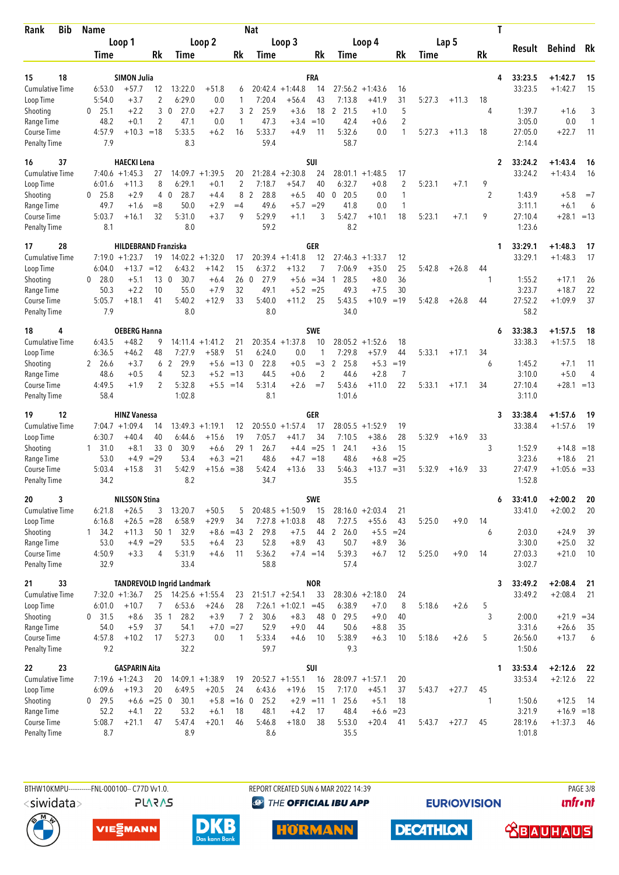| <b>Bib</b><br>Rank                        | <b>Name</b>         |                                          |             |                                                         |                               |               | <b>Nat</b>                     |                               |                  |                              |                      |                                |        |         | T              |                    |                        |           |
|-------------------------------------------|---------------------|------------------------------------------|-------------|---------------------------------------------------------|-------------------------------|---------------|--------------------------------|-------------------------------|------------------|------------------------------|----------------------|--------------------------------|--------|---------|----------------|--------------------|------------------------|-----------|
|                                           |                     | Loop 1                                   |             |                                                         | Loop 2                        |               |                                | Loop 3                        |                  |                              | Loop 4               |                                |        | Lap 5   |                | Result             | <b>Behind</b>          | Rk        |
|                                           | Time                |                                          | Rk          | Time                                                    |                               | Rk            | Time                           |                               | Rk               | Time                         |                      | Rk                             | Time   |         | Rk             |                    |                        |           |
| 18<br>15                                  |                     | <b>SIMON Julia</b>                       |             |                                                         |                               |               |                                |                               | FRA              |                              |                      |                                |        |         | 4              | 33:23.5            | $+1:42.7$              | 15        |
| <b>Cumulative Time</b>                    | 6:53.0              | $+57.7$                                  | 12          | 13:22.0                                                 | $+51.8$                       | 6             | 20:42.4                        | $+1:44.8$                     | 14               |                              | $27:56.2 + 1:43.6$   | 16                             |        |         |                | 33:23.5            | $+1:42.7$              | 15        |
| Loop Time                                 | 5:54.0              | $+3.7$                                   | 2           | 6:29.0                                                  | 0.0                           | 1             | 7:20.4                         | $+56.4$                       | 43               | 7:13.8                       | +41.9                | 31                             | 5:27.3 | $+11.3$ | 18             |                    |                        |           |
| Shooting                                  | 25.1<br>0           | $+2.2$                                   | 3           | 27.0<br>0                                               | $+2.7$                        | 3             | $\overline{2}$<br>25.9         | $+3.6$                        | 18               | 21.5<br>2                    | $+1.0$               | 5                              |        |         | 4              | 1:39.7             | $+1.6$                 | 3         |
| Range Time                                | 48.2                | $+0.1$                                   | 2<br>$=18$  | 47.1<br>5:33.5                                          | 0.0                           | 1             | 47.3<br>5:33.7                 | $+3.4$<br>$+4.9$              | $=10$            | 42.4<br>5:32.6               | $+0.6$               | $\overline{2}$<br>$\mathbf{1}$ |        |         |                | 3:05.0             | 0.0                    | 1         |
| <b>Course Time</b><br><b>Penalty Time</b> | 4:57.9<br>7.9       | $+10.3$                                  |             | 8.3                                                     | $+6.2$                        | 16            | 59.4                           |                               | 11               | 58.7                         | 0.0                  |                                | 5:27.3 | $+11.3$ | 18             | 27:05.0<br>2:14.4  | $+22.7$                | 11        |
| 37<br>16                                  |                     | <b>HAECKI Lena</b>                       |             |                                                         |                               |               |                                |                               | SUI              |                              |                      |                                |        |         | 2              | 33:24.2            | $+1:43.4$              | 16        |
| Cumulative Time                           |                     | $7:40.6 + 1:45.3$                        | 27          | 14:09.7                                                 | $+1:39.5$                     | 20            | 21:28.4                        | $+2:30.8$                     | 24               | 28:01.1                      | $+1:48.5$            | 17                             |        |         |                | 33:24.2            | $+1:43.4$              | 16        |
| Loop Time                                 | 6:01.6              | $+11.3$                                  | 8           | 6:29.1                                                  | $+0.1$                        | 2             | 7:18.7                         | $+54.7$                       | 40               | 6:32.7                       | $+0.8$               | $\overline{2}$                 | 5:23.1 | $+7.1$  | 9              |                    |                        |           |
| Shooting<br>Range Time                    | $0$ 25.8<br>49.7    | $+2.9$<br>$+1.6$                         | 4<br>$=8$   | 28.7<br>$\Omega$<br>50.0                                | $+4.4$<br>$+2.9$              | 8<br>$=4$     | $\overline{2}$<br>28.8<br>49.6 | $+6.5$<br>$+5.7$              | 40<br>$=29$      | 20.5<br>$\mathbf{0}$<br>41.8 | 0.0<br>0.0           | $\mathbf{1}$<br>$\mathbf{1}$   |        |         | $\overline{2}$ | 1:43.9<br>3:11.1   | $+5.8$<br>$+6.1$       | $=7$<br>6 |
| Course Time                               | 5:03.7              | $+16.1$                                  | 32          | 5:31.0                                                  | $+3.7$                        | 9             | 5:29.9                         | $+1.1$                        | 3                | 5:42.7                       | $+10.1$              | 18                             | 5:23.1 | $+7.1$  | 9              | 27:10.4            | $+28.1 = 13$           |           |
| <b>Penalty Time</b>                       | 8.1                 |                                          |             | 8.0                                                     |                               |               | 59.2                           |                               |                  | 8.2                          |                      |                                |        |         |                | 1:23.6             |                        |           |
| 28<br>17                                  |                     | <b>HILDEBRAND Franziska</b>              |             |                                                         |                               |               |                                |                               | GER              |                              |                      |                                |        |         | 1              | 33:29.1            | $+1:48.3$              | 17        |
| <b>Cumulative Time</b>                    |                     | $7:19.0 + 1:23.7$                        | 19          |                                                         | $14:02.2 +1:32.0$             | 17            |                                | $20:39.4 +1:41.8$             | 12               | 27:46.3                      | $+1:33.7$            | 12                             |        |         |                | 33:29.1            | $+1:48.3$              | 17        |
| Loop Time<br>Shooting                     | 6:04.0<br>28.0<br>0 | $+13.7$<br>$+5.1$                        | $=12$<br>13 | 6:43.2<br>30.7<br>$\mathbf 0$                           | $+14.2$<br>$+6.4$             | 15<br>260     | 6:37.2<br>27.9                 | $+13.2$<br>$+5.6$             | 7<br>$= 34$      | 7:06.9<br>28.5<br>-1         | $+35.0$<br>$+8.0$    | 25<br>36                       | 5:42.8 | $+26.8$ | 44<br>1        | 1:55.2             | $+17.1$                | 26        |
| Range Time                                | 50.3                | $+2.2$                                   | 10          | 55.0                                                    | $+7.9$                        | 32            | 49.1                           | $+5.2 = 25$                   |                  | 49.3                         | $+7.5$               | 30                             |        |         |                | 3:23.7             | $+18.7$                | 22        |
| Course Time                               | 5:05.7              | $+18.1$                                  | 41          | 5:40.2                                                  | $+12.9$                       | 33            | 5:40.0                         | $+11.2$                       | 25               | 5:43.5                       | +10.9                | $=19$                          | 5:42.8 | $+26.8$ | 44             | 27:52.2            | $+1:09.9$              | 37        |
| <b>Penalty Time</b>                       | 7.9                 |                                          |             | 8.0                                                     |                               |               | 8.0                            |                               |                  | 34.0                         |                      |                                |        |         |                | 58.2               |                        |           |
| 4<br>18                                   |                     | <b>OEBERG Hanna</b>                      |             |                                                         |                               |               |                                |                               | <b>SWE</b>       |                              |                      |                                |        |         | 6              | 33:38.3            | $+1:57.5$              | 18        |
| <b>Cumulative Time</b><br>Loop Time       | 6:43.5<br>6:36.5    | $+48.2$<br>$+46.2$                       | 9<br>48     | 7:27.9                                                  | $14:11.4 + 1:41.2$<br>$+58.9$ | 21<br>51      | 6:24.0                         | $20:35.4 +1:37.8$<br>0.0      | 10<br>1          | 28:05.2<br>7:29.8            | $+1:52.6$<br>$+57.9$ | 18<br>44                       | 5:33.1 | $+17.1$ | 34             | 33:38.3            | $+1:57.5$              | 18        |
| Shooting                                  | 2 26.6              | $+3.7$                                   | 6           | $\overline{2}$<br>29.9                                  | $+5.6$                        | $=13$ 0       | 22.8                           | $+0.5$                        | $=$ 3            | 2<br>25.8                    | $+5.3$               | $=19$                          |        |         | 6              | 1:45.2             | $+7.1$                 | 11        |
| Range Time                                | 48.6                | $+0.5$                                   | 4           | 52.3                                                    | $+5.2$                        | $=13$         | 44.5                           | $+0.6$                        | $\overline{2}$   | 44.6                         | $+2.8$               | $\overline{7}$                 |        |         |                | 3:10.0             | $+5.0$                 | 4         |
| Course Time                               | 4:49.5              | $+1.9$                                   | 2           | 5:32.8                                                  |                               | $+5.5 = 14$   | 5:31.4                         | $+2.6$                        | $=7$             | 5:43.6                       | $+11.0$              | 22                             | 5:33.1 | $+17.1$ | 34             | 27:10.4            | $+28.1 = 13$           |           |
| <b>Penalty Time</b>                       | 58.4                |                                          |             | 1:02.8                                                  |                               |               | 8.1                            |                               |                  | 1:01.6                       |                      |                                |        |         |                | 3:11.0             |                        |           |
| 12<br>19                                  |                     | <b>HINZ Vanessa</b>                      |             |                                                         |                               |               |                                |                               | GER              |                              |                      |                                |        |         | 3              | 33:38.4            | $+1:57.6$              | 19        |
| Cumulative Time<br>Loop Time              | 6:30.7              | $7:04.7 +1:09.4$<br>$+40.4$              | 14<br>40    | 13:49.3<br>6:44.6                                       | $+1:19.1$<br>$+15.6$          | 12<br>19      | 7:05.7                         | $20:55.0 + 1:57.4$<br>$+41.7$ | 17<br>34         | 28:05.5<br>7:10.5            | $+1:52.9$<br>$+38.6$ | 19<br>28                       | 5:32.9 | $+16.9$ | 33             | 33:38.4            | $+1:57.6$              | 19        |
| Shooting                                  | 31.0<br>1           | $+8.1$                                   | 33 0        | 30.9                                                    | $+6.6$                        | 29            | 26.7<br>$\overline{1}$         |                               | $+4.4 = 25$      | 24.1<br>-1                   | $+3.6$               | 15                             |        |         | 3              | 1:52.9             | $+14.8$                | $=18$     |
| Range Time                                | 53.0                | $+4.9$                                   | $=29$       | 53.4                                                    | $+6.3$                        | $= 21$        | 48.6                           | $+4.7$                        | $=18$            | 48.6                         | $+6.8$               | $= 25$                         |        |         |                | 3:23.6             | $+18.6$                | -21       |
| <b>Course Time</b>                        | 5:03.4              | $+15.8$                                  | 31          | 5:42.9                                                  | $+15.6$                       | $=38$         | 5:42.4                         | $+13.6$                       | 33               | 5:46.3                       | +13.7                | $= 31$                         | 5:32.9 | $+16.9$ | 33             | 27:47.9            | $+1:05.6 = 33$         |           |
| <b>Penalty Time</b>                       | 34.2                |                                          |             | 8.2                                                     |                               |               | 34.7                           |                               |                  | 35.5                         |                      |                                |        |         |                | 1:52.8             |                        |           |
| 3<br>20<br><b>Cumulative Time</b>         | 6:21.8              | <b>NILSSON Stina</b><br>$+26.5$          | 3           | 13:20.7                                                 | $+50.5$                       | 5             |                                | $20:48.5 +1:50.9$             | SWE<br>15        |                              | $28:16.0 + 2:03.4$   | 21                             |        |         | 6              | 33:41.0<br>33:41.0 | $+2:00.2$<br>$+2:00.2$ | 20<br>20  |
| Loop Time                                 | 6:16.8              | $+26.5$                                  | $= 28$      | 6:58.9                                                  | $+29.9$                       | 34            |                                | $7:27.8$ +1:03.8              | 48               | 7:27.5                       | $+55.6$              | 43                             | 5:25.0 | $+9.0$  | 14             |                    |                        |           |
| Shooting                                  | $1 \quad 34.2$      | $+11.3$                                  | 50 1        | 32.9                                                    |                               | $+8.6 = 43$ 2 | 29.8                           | $+7.5$                        |                  | 44 2 26.0                    | $+5.5$               | $= 24$                         |        |         | 6              | 2:03.0             | $+24.9$                | 39        |
| Range Time                                | 53.0                | $+4.9 = 29$                              |             | 53.5                                                    | $+6.4$                        | 23            | 52.8                           | $+8.9$                        | 43               | 50.7                         | $+8.9$               | 36                             |        |         |                | 3:30.0             | $+25.0$                | 32        |
| Course Time                               | 4:50.9              | $+3.3$                                   | 4           | 5:31.9                                                  | $+4.6$                        | 11            | 5:36.2                         |                               | $+7.4 = 14$      | 5:39.3                       | $+6.7$               | 12                             | 5:25.0 | $+9.0$  | 14             | 27:03.3            | $+21.0$                | 10        |
| <b>Penalty Time</b>                       | 32.9                |                                          |             | 33.4                                                    |                               |               | 58.8                           |                               |                  | 57.4                         |                      |                                |        |         |                | 3:02.7             |                        |           |
| 33<br>21<br>Cumulative Time               |                     | $7:32.0 +1:36.7$                         |             | <b>TANDREVOLD Ingrid Landmark</b><br>25 14:25.6 +1:55.4 |                               |               |                                | $21:51.7 +2:54.1$             | <b>NOR</b><br>33 |                              | $28:30.6 +2:18.0$    |                                |        |         | 3              | 33:49.2<br>33:49.2 | $+2:08.4$<br>$+2:08.4$ | 21<br>21  |
| Loop Time                                 | 6:01.0              | $+10.7$                                  | 7           | 6:53.6                                                  | $+24.6$                       | 23<br>28      |                                | $7:26.1 +1:02.1$              | $=45$            | 6:38.9                       | $+7.0$               | 24<br>8                        | 5:18.6 | $+2.6$  | 5              |                    |                        |           |
| Shooting                                  | 0, 31.5             | $+8.6$                                   | $35-1$      | 28.2                                                    | $+3.9$                        |               | 7 <sub>2</sub><br>30.6         | $+8.3$                        | 48               | $0$ 29.5                     | $+9.0$               | 40                             |        |         | 3              | 2:00.0             | $+21.9 = 34$           |           |
| Range Time                                | 54.0                | $+5.9$                                   | 37          | 54.1                                                    |                               | $+7.0 = 27$   | 52.9                           | $+9.0$                        | 44               | 50.6                         | $+8.8$               | 35                             |        |         |                | 3:31.6             | $+26.6$                | 35        |
| Course Time                               | 4:57.8              | $+10.2$                                  | 17          | 5:27.3                                                  | 0.0                           | 1             | 5:33.4                         | $+4.6$                        | 10               | 5:38.9                       | $+6.3$               | 10                             | 5:18.6 | $+2.6$  | 5              | 26:56.0            | $+13.7$                | 6         |
| <b>Penalty Time</b>                       | 9.2                 |                                          |             | 32.2                                                    |                               |               | 59.7                           |                               |                  | 9.3                          |                      |                                |        |         |                | 1:50.6             |                        |           |
| 23<br>22<br><b>Cumulative Time</b>        |                     | <b>GASPARIN Aita</b><br>$7:19.6 +1:24.3$ | 20          |                                                         | $14:09.1 + 1:38.9$            | 19            |                                | $20:52.7 + 1:55.1$            | SUI<br>16        |                              | $28:09.7 + 1:57.1$   | 20                             |        |         | 1              | 33:53.4<br>33:53.4 | $+2:12.6$<br>$+2:12.6$ | -22<br>22 |
| Loop Time                                 | 6:09.6              | $+19.3$                                  | 20          | 6:49.5                                                  | $+20.5$                       | 24            | 6:43.6                         | $+19.6$                       | 15               | 7:17.0                       | $+45.1$              | 37                             | 5:43.7 | $+27.7$ | 45             |                    |                        |           |
| Shooting                                  | $0$ 29.5            | $+6.6 = 25$ 0                            |             | 30.1                                                    | $+5.8$                        | $=16$ 0       | 25.2                           |                               | $+2.9 = 11$      | 125.6                        | $+5.1$               | 18                             |        |         | -1             | 1:50.6             | $+12.5$                | -14       |
| Range Time                                | 52.2                | $+4.1$                                   | 22          | 53.2                                                    | $+6.1$                        | 18            | 48.1                           | $+4.2$                        | 17               | 48.4                         | $+6.6$               | $= 23$                         |        |         |                | 3:21.9             | $+16.9 = 18$           |           |
| Course Time<br><b>Penalty Time</b>        | 5:08.7<br>8.7       | $+21.1$                                  | 47          | 5:47.4<br>8.9                                           | $+20.1$                       | 46            | 5:46.8<br>8.6                  | $+18.0$                       | 38               | 5:53.0<br>35.5               | $+20.4$              | 41                             | 5:43.7 | $+27.7$ | 45             | 28:19.6<br>1:01.8  | $+1:37.3$              | - 46      |
|                                           |                     |                                          |             |                                                         |                               |               |                                |                               |                  |                              |                      |                                |        |         |                |                    |                        |           |

**PLARAS** 

BTHW10KMPU-----------FNL-000100-- C77D W1.0. REPORT CREATED SUN 6 MAR 2022 14:39 REPORT CREATED SUN 6 MAR 2022 14:39 **<sup><sup>3</sup>** THE OFFICIAL IBU APP</sup>

**HÖRMANN** 

**EURIOVISION** 

*<u><u>Infront</u>*</u>







**DECATHLON** 

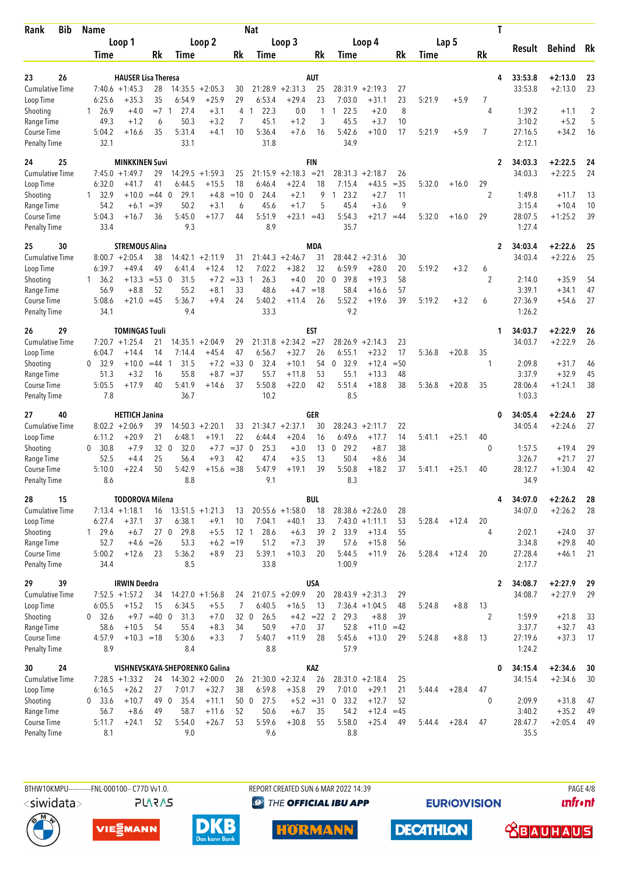| <b>Bib</b><br>Rank                 | <b>Name</b>         |                                                 |              |                                |                    |                 | <b>Nat</b>                   |                    |                     |                              |                    |             |             |         |                | T                                  |                        |          |
|------------------------------------|---------------------|-------------------------------------------------|--------------|--------------------------------|--------------------|-----------------|------------------------------|--------------------|---------------------|------------------------------|--------------------|-------------|-------------|---------|----------------|------------------------------------|------------------------|----------|
|                                    |                     | Loop 1                                          |              |                                | Loop 2             |                 |                              | Loop 3             |                     |                              | Loop 4             |             |             | Lap 5   |                | Result                             | <b>Behind</b>          | Rk       |
|                                    | Time                |                                                 | Rk           | <b>Time</b>                    |                    | Rk              | Time                         |                    | Rk                  | Time                         |                    | Rk          | <b>Time</b> |         | Rk             |                                    |                        |          |
|                                    |                     |                                                 |              |                                |                    |                 |                              |                    |                     |                              |                    |             |             |         |                |                                    |                        |          |
| 26<br>23<br><b>Cumulative Time</b> |                     | <b>HAUSER Lisa Theresa</b><br>$7:40.6 + 1:45.3$ | 28           | 14:35.5                        | $+2:05.3$          | 30              | 21:28.9                      | $+2:31.3$          | AUT<br>25           | 28:31.9                      | $+2:19.3$          | 27          |             |         |                | 33:53.8<br>4<br>33:53.8            | $+2:13.0$<br>$+2:13.0$ | 23<br>23 |
| Loop Time                          | 6:25.6              | $+35.3$                                         | 35           | 6:54.9                         | $+25.9$            | 29              | 6:53.4                       | $+29.4$            | 23                  | 7:03.0                       | $+31.1$            | 23          | 5:21.9      | $+5.9$  | 7              |                                    |                        |          |
| Shooting                           | 26.9<br>1           | $+4.0$                                          | $=7$         | 27.4<br>-1                     | $+3.1$             | 4               | 22.3<br>$\mathbf{1}$         | 0.0                | 1                   | 22.5<br>1                    | $+2.0$             | 8           |             |         | 4              | 1:39.2                             | $+1.1$                 | 2        |
| Range Time                         | 49.3                | $+1.2$                                          | 6            | 50.3                           | $+3.2$             | 7               | 45.1                         | $+1.2$             | 3                   | 45.5                         | $+3.7$             | 10          |             |         |                | 3:10.2                             | $+5.2$                 | 5        |
| <b>Course Time</b>                 | 5:04.2              | $+16.6$                                         | 35           | 5:31.4                         | $+4.1$             | 10              | 5:36.4                       | $+7.6$             | 16                  | 5:42.6                       | $+10.0$            | 17          | 5:21.9      | $+5.9$  | 7              | 27:16.5                            | $+34.2$                | 16       |
| <b>Penalty Time</b>                | 32.1                |                                                 |              | 33.1                           |                    |                 | 31.8                         |                    |                     | 34.9                         |                    |             |             |         |                | 2:12.1                             |                        |          |
| 25<br>24                           |                     | <b>MINKKINEN Suvi</b>                           |              |                                |                    |                 |                              |                    | <b>FIN</b>          |                              |                    |             |             |         |                | 34:03.3<br>$\overline{2}$          | $+2:22.5$              | 24       |
| <b>Cumulative Time</b>             |                     | $7:45.0 +1:49.7$                                | 29           | 14:29.5                        | $+1:59.3$          | 25              | 21:15.9                      | $+2:18.3$          | $= 21$              | 28:31.3                      | $+2:18.7$          | 26          |             |         |                | 34:03.3                            | $+2:22.5$              | 24       |
| Loop Time                          | 6:32.0              | $+41.7$                                         | 41           | 6:44.5                         | $+15.5$            | 18              | 6:46.4                       | $+22.4$            | 18                  | 7:15.4                       | $+43.5$            | $= 35$      | 5:32.0      | $+16.0$ | 29             |                                    |                        |          |
| Shooting                           | 1, 32.9             | $+10.0$                                         | $=44$        | 29.1<br>$\Omega$               | $+4.8$<br>$+3.1$   | $=10$           | 24.4<br>$\mathbf{0}$<br>45.6 | $+2.1$             | 9<br>5              | 23.2<br>$\mathbf{1}$<br>45.4 | $+2.7$             | 11<br>9     |             |         | $\overline{2}$ | 1:49.8                             | $+11.7$                | 13       |
| Range Time<br>Course Time          | 54.2<br>5:04.3      | $+6.1$<br>$+16.7$                               | $= 39$<br>36 | 50.2<br>5:45.0                 | $+17.7$            | 6<br>44         | 5:51.9                       | $+1.7$<br>$+23.1$  | $=43$               | 5:54.3                       | $+3.6$<br>$+21.7$  | $=44$       | 5:32.0      | $+16.0$ | 29             | 3:15.4<br>28:07.5                  | $+10.4$<br>$+1:25.2$   | 10<br>39 |
| <b>Penalty Time</b>                | 33.4                |                                                 |              | 9.3                            |                    |                 | 8.9                          |                    |                     | 35.7                         |                    |             |             |         |                | 1:27.4                             |                        |          |
| 25<br>30                           |                     | <b>STREMOUS Alina</b>                           |              |                                |                    |                 |                              |                    | <b>MDA</b>          |                              |                    |             |             |         |                | 34:03.4<br>$\overline{2}$          | $+2:22.6$              | 25       |
| <b>Cumulative Time</b>             |                     | $8:00.7 + 2:05.4$                               | 38           | 14:42.1                        | $+2:11.9$          | 31              | 21:44.3                      | $+2:46.7$          | 31                  | 28:44.2                      | $+2:31.6$          | 30          |             |         |                | 34:03.4                            | $+2:22.6$              | 25       |
| Loop Time                          | 6:39.7              | $+49.4$                                         | 49           | 6:41.4                         | $+12.4$            | 12              | 7:02.2                       | $+38.2$            | 32                  | 6:59.9                       | $+28.0$            | 20          | 5:19.2      | $+3.2$  | 6              |                                    |                        |          |
| Shooting                           | 1, 36.2             | $+13.3$                                         | $= 53$       | 31.5<br>$\overline{0}$         | $+7.2$             | $=33$           | 26.3<br>-1                   | $+4.0$             | 20                  | 39.8<br>0                    | $+19.3$            | 58          |             |         | $\overline{2}$ | 2:14.0                             | $+35.9$                | 54       |
| Range Time                         | 56.9                | $+8.8$                                          | 52           | 55.2                           | $+8.1$             | 33              | 48.6                         | $+4.7$             | $=18$               | 58.4                         | $+16.6$            | 57          |             |         |                | 3:39.1                             | $+34.1$                | 47       |
| Course Time<br><b>Penalty Time</b> | 5:08.6<br>34.1      | $+21.0$                                         | $=45$        | 5:36.7<br>9.4                  | $+9.4$             | 24              | 5:40.2<br>33.3               | $+11.4$            | 26                  | 5:52.2<br>9.2                | $+19.6$            | 39          | 5:19.2      | $+3.2$  | 6              | 27:36.9<br>1:26.2                  | $+54.6$                | 27       |
|                                    |                     |                                                 |              |                                |                    |                 |                              |                    |                     |                              |                    |             |             |         |                |                                    |                        |          |
| 26<br>29<br><b>Cumulative Time</b> |                     | <b>TOMINGAS Tuuli</b><br>$7:20.7 + 1:25.4$      | 21           |                                | $14:35.1 + 2:04.9$ | 29              | 21:31.8                      | $+2:34.2$          | <b>EST</b><br>$=27$ | 28:26.9                      | $+2:14.3$          | 23          |             |         |                | 34:03.7<br>1<br>34:03.7            | $+2:22.9$<br>$+2:22.9$ | 26<br>26 |
| Loop Time                          | 6:04.7              | $+14.4$                                         | 14           | 7:14.4                         | $+45.4$            | 47              | 6:56.7                       | $+32.7$            | 26                  | 6:55.1                       | $+23.2$            | 17          | 5:36.8      | $+20.8$ | 35             |                                    |                        |          |
| Shooting                           | 32.9<br>0           | $+10.0$                                         | $=44$        | 31.5<br>-1                     | $+7.2$             | $=33$ 0         | 32.4                         | $+10.1$            | 54                  | $\mathbf{0}$<br>32.9         | $+12.4$            | $= 50$      |             |         | 1              | 2:09.8                             | $+31.7$                | 46       |
| Range Time                         | 51.3                | $+3.2$                                          | 16           | 55.8                           | $+8.7$             | $=37$           | 55.7                         | $+11.8$            | 53                  | 55.1                         | $+13.3$            | 48          |             |         |                | 3:37.9                             | $+32.9$                | 45       |
| Course Time                        | 5:05.5              | $+17.9$                                         | 40           | 5:41.9                         | $+14.6$            | 37              | 5:50.8                       | $+22.0$            | 42                  | 5:51.4                       | $+18.8$            | 38          | 5:36.8      | $+20.8$ | 35             | 28:06.4                            | $+1:24.1$              | 38       |
| <b>Penalty Time</b>                | 7.8                 |                                                 |              | 36.7                           |                    |                 | 10.2                         |                    |                     | 8.5                          |                    |             |             |         |                | 1:03.3                             |                        |          |
| 40<br>27                           |                     | <b>HETTICH Janina</b>                           |              |                                |                    |                 |                              |                    | GER                 |                              |                    |             |             |         |                | 34:05.4<br>0                       | $+2:24.6$              | 27       |
| <b>Cumulative Time</b>             |                     | $8:02.2 + 2:06.9$                               | 39           |                                | $14:50.3 + 2:20.1$ | 33              |                              | $21:34.7 + 2:37.1$ | 30                  | 28:24.3                      | $+2:11.7$          | 22          |             |         |                | 34:05.4                            | $+2:24.6$              | 27       |
| Loop Time                          | 6:11.2<br>30.8<br>0 | $+20.9$<br>$+7.9$                               | 21<br>320    | 6:48.1<br>32.0                 | $+19.1$<br>$+7.7$  | 22<br>$=37$ 0   | 6:44.4<br>25.3               | $+20.4$<br>$+3.0$  | 16<br>13            | 6:49.6<br>29.2<br>0          | $+17.7$<br>$+8.7$  | 14<br>38    | 5:41.1      | $+25.1$ | 40<br>0        | 1:57.5                             | $+19.4$                | 29       |
| Shooting<br>Range Time             | 52.5                | $+4.4$                                          | 25           | 56.4                           | $+9.3$             | 42              | 47.4                         | $+3.5$             | 13                  | 50.4                         | $+8.6$             | 34          |             |         |                | 3:26.7                             | $+21.7$                | 27       |
| <b>Course Time</b>                 | 5:10.0              | $+22.4$                                         | 50           | 5:42.9                         | $+15.6$            | $= 38$          | 5:47.9                       | $+19.1$            | 39                  | 5:50.8                       | $+18.2$            | 37          | 5:41.1      | $+25.1$ | 40             | 28:12.7                            | $+1:30.4$              | 42       |
| <b>Penalty Time</b>                | 8.6                 |                                                 |              | 8.8                            |                    |                 | 9.1                          |                    |                     | 8.3                          |                    |             |             |         |                | 34.9                               |                        |          |
| 15<br>28                           |                     | <b>TODOROVA Milena</b>                          |              |                                |                    |                 |                              |                    | <b>BUL</b>          |                              |                    |             |             |         |                | 34:07.0<br>4                       | $+2:26.2$              | 28       |
| <b>Cumulative Time</b>             |                     | $7:13.4 +1:18.1$                                | 16           |                                | $13:51.5 + 1:21.3$ | 13              |                              | $20:55.6 + 1:58.0$ | 18                  |                              | $28:38.6 + 2:26.0$ | 28          |             |         |                | 34:07.0                            | $+2:26.2$              | 28       |
| Loop Time                          | 6:27.4              | $+37.1$                                         | 37           | 6:38.1                         | $+9.1$             | 10              | 7:04.1                       | $+40.1$            | 33                  |                              | $7:43.0 +1:11.1$   | 53          | 5:28.4      | $+12.4$ | 20             |                                    |                        |          |
| Shooting                           | 1 29.6              | $+6.7$                                          |              | 27 <sub>0</sub><br>29.8        | $+5.5$             | 12 <sub>1</sub> | 28.6                         | $+6.3$             | 39                  | 2 33.9                       | $+13.4$            | 55          |             |         | 4              | 2:02.1                             | $+24.0$                | 37       |
| Range Time                         | 52.7                |                                                 | $+4.6 = 26$  | 53.3                           |                    | $+6.2 = 19$     | 51.2                         | $+7.3$             | 39                  | 57.6                         | $+15.8$            | 56          |             |         |                | 3:34.8                             | $+29.8$                | 40       |
| Course Time<br><b>Penalty Time</b> | 5:00.2<br>34.4      | $+12.6$                                         | 23           | 5:36.2<br>8.5                  | $+8.9$             | 23              | 5:39.1<br>33.8               | $+10.3$            | 20                  | 5:44.5<br>1:00.9             | $+11.9$            | 26          | 5:28.4      | $+12.4$ | 20             | 27:28.4<br>2:17.7                  | $+46.1$                | 21       |
|                                    |                     |                                                 |              |                                |                    |                 |                              |                    |                     |                              |                    |             |             |         |                |                                    |                        |          |
| 39<br>29<br><b>Cumulative Time</b> |                     | <b>IRWIN Deedra</b><br>$7:52.5 +1:57.2$         | 34           |                                | $14:27.0 +1:56.8$  | 24              |                              | $21:07.5 +2:09.9$  | <b>USA</b><br>20    |                              | $28:43.9 + 2:31.3$ | 29          |             |         |                | 34:08.7<br>$\mathbf{2}$<br>34:08.7 | $+2:27.9$<br>$+2:27.9$ | 29<br>29 |
| Loop Time                          | 6:05.5              | $+15.2$                                         | 15           | 6:34.5                         | $+5.5$             | 7               | 6:40.5                       | $+16.5$            | 13                  |                              | $7:36.4 +1:04.5$   | 48          | 5:24.8      | $+8.8$  | 13             |                                    |                        |          |
| Shooting                           | 0 32.6              |                                                 | $+9.7$ =40 0 | 31.3                           | $+7.0$             | 32 <sub>0</sub> | 26.5                         |                    | $+4.2 = 22$         | $\overline{2}$<br>29.3       | $+8.8$             | 39          |             |         | $\overline{2}$ | 1:59.9                             | $+21.8$                | 33       |
| Range Time                         | 58.6                | $+10.5$                                         | 54           | 55.4                           | $+8.3$             | 34              | 50.9                         | $+7.0$             | 37                  | 52.8                         | $+11.0$            | $=42$       |             |         |                | 3:37.7                             | $+32.7$                | 43       |
| Course Time                        | 4:57.9              | $+10.3 = 18$                                    |              | 5:30.6                         | $+3.3$             | 7               | 5:40.7                       | $+11.9$            | 28                  | 5:45.6                       | $+13.0$            | 29          | 5:24.8      | $+8.8$  | 13             | 27:19.6                            | $+37.3$                | 17       |
| <b>Penalty Time</b>                | 8.9                 |                                                 |              | 8.4                            |                    |                 | 8.8                          |                    |                     | 57.9                         |                    |             |             |         |                | 1:24.2                             |                        |          |
| 24<br>30                           |                     |                                                 |              | VISHNEVSKAYA-SHEPORENKO Galina |                    |                 |                              |                    | KAZ                 |                              |                    |             |             |         |                | 0<br>34:15.4                       | $+2:34.6$              | 30       |
| <b>Cumulative Time</b>             |                     | $7:28.5 +1:33.2$                                | 24           |                                | $14:30.2 + 2:00.0$ | 26              |                              | $21:30.0 +2:32.4$  | 26                  |                              | $28:31.0 + 2:18.4$ | 25          |             |         |                | 34:15.4                            | $+2:34.6$              | 30       |
| Loop Time                          | 6:16.5              | $+26.2$                                         | 27           | 7:01.7                         | $+32.7$            | 38              | 6:59.8                       | $+35.8$            | 29                  | 7:01.0                       | $+29.1$            | 21          | 5:44.4      | $+28.4$ | 47             |                                    |                        |          |
| Shooting<br>Range Time             | 0, 33.6<br>56.7     | $+10.7$<br>$+8.6$                               | 49 0<br>49   | 35.4<br>58.7                   | $+11.1$<br>$+11.6$ | 52              | 50 0<br>27.5<br>50.6         | $+6.7$             | $+5.2 = 31$<br>35   | $0$ 33.2<br>54.2             | $+12.7$<br>$+12.4$ | 52<br>$=45$ |             |         | 0              | 2:09.9<br>3:40.2                   | $+31.8$<br>$+35.2$     | 47<br>49 |
| Course Time                        | 5:11.7              | $+24.1$                                         | 52           | 5:54.0                         | $+26.7$            | 53              | 5:59.6                       | $+30.8$            | 55                  | 5:58.0                       | $+25.4$            | 49          | 5:44.4      | $+28.4$ | 47             | 28:47.7                            | $+2:05.4$              | 49       |
| <b>Penalty Time</b>                | 8.1                 |                                                 |              | 9.0                            |                    |                 | 9.6                          |                    |                     | 8.8                          |                    |             |             |         |                | 35.5                               |                        |          |
|                                    |                     |                                                 |              |                                |                    |                 |                              |                    |                     |                              |                    |             |             |         |                |                                    |                        |          |

**PLARAS** 

BTHW10KMPU-----------FNL-000100-- C77D W1.0. REPORT CREATED SUN 6 MAR 2022 14:39 RAGE 4/8 **<sup><sup>3</sup>** THE OFFICIAL IBU APP</sup>

**EURIOVISION** 

**DECATHLON** 

*<u><u>Infront</u>*</u>









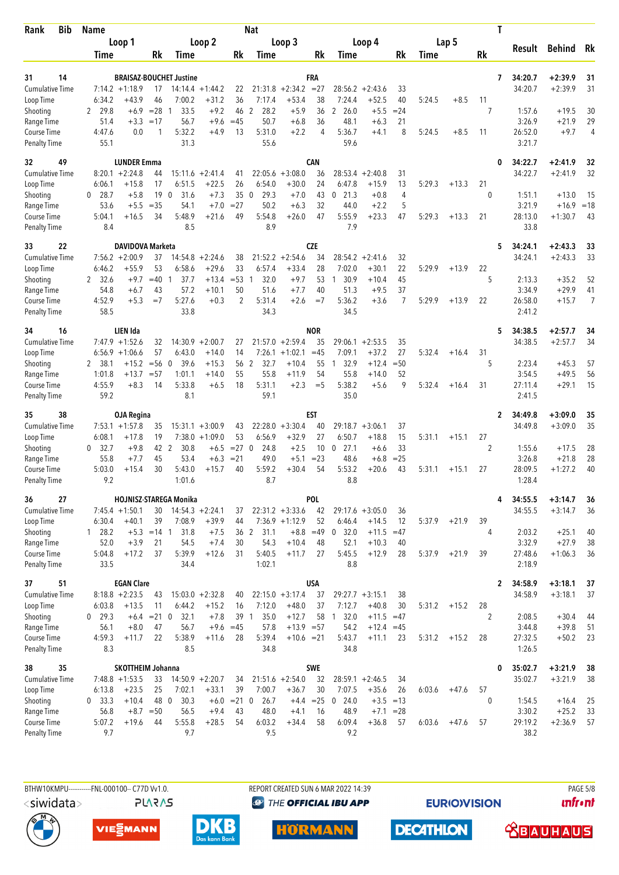| Rank                                | <b>Bib</b> | <b>Name</b>          |                                       |               |                                |                                        |              | <b>Nat</b>                  |                               |             |                                |                               |              |        |         |                | Τ            |                    |                        |                |
|-------------------------------------|------------|----------------------|---------------------------------------|---------------|--------------------------------|----------------------------------------|--------------|-----------------------------|-------------------------------|-------------|--------------------------------|-------------------------------|--------------|--------|---------|----------------|--------------|--------------------|------------------------|----------------|
|                                     |            |                      | Loop 1                                |               |                                | Loop 2                                 |              |                             | Loop 3                        |             |                                | Loop 4                        |              |        | Lap 5   |                |              | Result             | Behind                 | Rk             |
|                                     |            | Time                 |                                       | Rk            | Time                           |                                        | Rk           | Time                        |                               | Rk          | Time                           |                               | Rk           | Time   |         | Rk             |              |                    |                        |                |
| 31                                  | 14         |                      |                                       |               | <b>BRAISAZ-BOUCHET Justine</b> |                                        |              |                             |                               | FRA         |                                |                               |              |        |         |                | 7            | 34:20.7            | $+2:39.9$              | 31             |
| <b>Cumulative Time</b>              |            |                      | $7:14.2 +1:18.9$                      | 17            |                                | $14:14.4 + 1:44.2$                     | 22           | 21:31.8                     | $+2:34.2$                     | $= 27$      |                                | $28:56.2 + 2:43.6$            | 33           |        |         |                |              | 34:20.7            | $+2:39.9$              | 31             |
| Loop Time                           |            | 6:34.2               | +43.9                                 | 46            | 7:00.2                         | $+31.2$                                | 36           | 7:17.4                      | $+53.4$                       | 38          | 7:24.4                         | $+52.5$                       | 40           | 5:24.5 | $+8.5$  | 11             |              |                    |                        |                |
| Shooting                            |            | 2 29.8               | $+6.9$                                | $= 28$        | 33.5<br>-1                     | $+9.2$                                 | 46           | 2<br>28.2                   | $+5.9$                        | 36          | 2 26.0                         | $+5.5$                        | $= 24$       |        |         | 7              |              | 1:57.6             | $+19.5$                | 30             |
| Range Time<br>Course Time           |            | 51.4<br>4:47.6       | $+3.3$<br>0.0                         | $=17$<br>1    | 56.7<br>5:32.2                 | $+9.6$<br>$+4.9$                       | $=45$<br>13  | 50.7<br>5:31.0              | $+6.8$<br>$+2.2$              | 36<br>4     | 48.1<br>5:36.7                 | $+6.3$<br>$+4.1$              | 21<br>8      | 5:24.5 | $+8.5$  | 11             |              | 3:26.9<br>26:52.0  | $+21.9$<br>$+9.7$      | 29<br>4        |
| <b>Penalty Time</b>                 |            | 55.1                 |                                       |               | 31.3                           |                                        |              | 55.6                        |                               |             | 59.6                           |                               |              |        |         |                |              | 3:21.7             |                        |                |
| 32                                  | 49         |                      | <b>LUNDER Emma</b>                    |               |                                |                                        |              |                             |                               | <b>CAN</b>  |                                |                               |              |        |         |                | 0            | 34:22.7            | $+2:41.9$              | 32             |
| <b>Cumulative Time</b>              |            |                      | $8:20.1 + 2:24.8$                     | 44            |                                | $15:11.6 + 2:41.4$                     | 41           | 22:05.6                     | $+3:08.0$                     | 36          | 28:53.4                        | $+2:40.8$                     | 31           |        |         |                |              | 34:22.7            | $+2:41.9$              | 32             |
| Loop Time                           |            | 6:06.1               | +15.8                                 | 17            | 6:51.5                         | $+22.5$                                | 26           | 6:54.0                      | $+30.0$                       | 24          | 6:47.8                         | $+15.9$                       | 13           | 5:29.3 | $+13.3$ | 21             |              |                    |                        |                |
| Shooting<br>Range Time              |            | $0$ 28.7<br>53.6     | $+5.8$<br>$+5.5$                      | 19<br>$=35$   | $\overline{0}$<br>31.6<br>54.1 | $+7.3$<br>$+7.0$                       | 35<br>$= 27$ | 29.3<br>$\mathbf 0$<br>50.2 | $+7.0$<br>$+6.3$              | 43<br>32    | 21.3<br>$\mathbf 0$<br>44.0    | $+0.8$<br>$+2.2$              | 4<br>5       |        |         | 0              |              | 1:51.1<br>3:21.9   | $+13.0$<br>$+16.9$     | 15<br>$=18$    |
| Course Time                         |            | 5:04.1               | $+16.5$                               | 34            | 5:48.9                         | $+21.6$                                | 49           | 5:54.8                      | $+26.0$                       | 47          | 5:55.9                         | $+23.3$                       | 47           | 5:29.3 | $+13.3$ | 21             |              | 28:13.0            | $+1:30.7$              | 43             |
| <b>Penalty Time</b>                 |            | 8.4                  |                                       |               | 8.5                            |                                        |              | 8.9                         |                               |             | 7.9                            |                               |              |        |         |                |              | 33.8               |                        |                |
| 33                                  | 22         |                      | DAVIDOVA Marketa                      |               |                                |                                        |              |                             |                               | <b>CZE</b>  |                                |                               |              |        |         |                | 5            | 34:24.1            | $+2:43.3$              | 33             |
| <b>Cumulative Time</b>              |            |                      | $7:56.2 +2:00.9$                      | 37            | 14:54.8                        | $+2:24.6$                              | 38           | 21:52.2                     | $+2:54.6$                     | 34          | 28:54.2                        | $+2:41.6$                     | 32           |        |         |                |              | 34:24.1            | $+2:43.3$              | 33             |
| Loop Time<br>Shooting               |            | 6:46.2<br>2, 32.6    | $+55.9$<br>$+9.7$                     | 53<br>$=40$   | 6:58.6<br>37.7<br>1            | $+29.6$<br>$+13.4$                     | 33<br>$= 53$ | 6:57.4<br>32.0<br>1         | $+33.4$<br>$+9.7$             | 28<br>53    | 7:02.0<br>30.9<br>$\mathbf{1}$ | $+30.1$<br>$+10.4$            | 22<br>45     | 5:29.9 | $+13.9$ | 22<br>5        |              | 2:13.3             | $+35.2$                | 52             |
| Range Time                          |            | 54.8                 | $+6.7$                                | 43            | 57.2                           | $+10.1$                                | 50           | 51.6                        | $+7.7$                        | 40          | 51.3                           | $+9.5$                        | 37           |        |         |                |              | 3:34.9             | $+29.9$                | 41             |
| Course Time                         |            | 4:52.9               | $+5.3$                                | $=7$          | 5:27.6                         | $+0.3$                                 | 2            | 5:31.4                      | $+2.6$                        | $=7$        | 5:36.2                         | $+3.6$                        | 7            | 5:29.9 | $+13.9$ | 22             |              | 26:58.0            | $+15.7$                | $\overline{7}$ |
| <b>Penalty Time</b>                 |            | 58.5                 |                                       |               | 33.8                           |                                        |              | 34.3                        |                               |             | 34.5                           |                               |              |        |         |                |              | 2:41.2             |                        |                |
| 34                                  | 16         |                      | LIEN Ida                              |               |                                |                                        |              |                             |                               | <b>NOR</b>  |                                |                               |              |        |         |                | 5            | 34:38.5            | $+2:57.7$              | 34             |
| <b>Cumulative Time</b>              |            |                      | $7:47.9 +1:52.6$                      | 32            |                                | $14:30.9 + 2:00.7$                     | 27           |                             | $21:57.0 + 2:59.4$            | 35          |                                | $29:06.1 + 2:53.5$            | 35           |        |         |                |              | 34:38.5            | $+2:57.7$              | 34             |
| Loop Time<br>Shooting               |            | 2 38.1               | $6:56.9 +1:06.6$<br>$+15.2$           | 57<br>$=$ 56  | 6:43.0<br>39.6<br>- 0          | $+14.0$<br>$+15.3$                     | 14<br>56     | $\overline{2}$<br>32.7      | $7:26.1 +1:02.1$<br>$+10.4$   | $=45$<br>55 | 7:09.1<br>32.9<br>$\mathbf{1}$ | $+37.2$<br>$+12.4$            | 27<br>$= 50$ | 5:32.4 | $+16.4$ | 31<br>5        |              | 2:23.4             | $+45.3$                | 57             |
| Range Time                          |            | 1:01.8               | $+13.7$                               | $= 57$        | 1:01.1                         | $+14.0$                                | 55           | 55.8                        | $+11.9$                       | 54          | 55.8                           | $+14.0$                       | 52           |        |         |                |              | 3:54.5             | $+49.5$                | 56             |
| Course Time                         |            | 4:55.9               | $+8.3$                                | 14            | 5:33.8                         | $+6.5$                                 | 18           | 5:31.1                      | $+2.3$                        | $=$ 5       | 5:38.2                         | $+5.6$                        | 9            | 5:32.4 | $+16.4$ | 31             |              | 27:11.4            | $+29.1$                | 15             |
| <b>Penalty Time</b>                 |            | 59.2                 |                                       |               | 8.1                            |                                        |              | 59.1                        |                               |             | 35.0                           |                               |              |        |         |                |              | 2:41.5             |                        |                |
| 35                                  | 38         |                      | <b>OJA Regina</b>                     |               |                                |                                        |              |                             |                               | EST         |                                |                               |              |        |         |                | 2            | 34:49.8            | $+3:09.0$              | 35             |
| <b>Cumulative Time</b><br>Loop Time |            | 6:08.1               | $7:53.1 + 1:57.8$<br>$+17.8$          | 35<br>19      |                                | $15:31.1 + 3:00.9$<br>$7:38.0 +1:09.0$ | 43<br>53     | 6:56.9                      | $22:28.0 + 3:30.4$<br>$+32.9$ | 40<br>27    | 6:50.7                         | $29:18.7 + 3:06.1$<br>$+18.8$ | 37<br>15     | 5:31.1 | $+15.1$ | 27             |              | 34:49.8            | $+3:09.0$              | 35             |
| Shooting                            |            | 32.7<br>$\mathbf{0}$ | $+9.8$                                | 42 2          | 30.8                           | $+6.5$                                 | $= 27$ 0     | 24.8                        | $+2.5$                        | 10          | 27.1<br>0                      | $+6.6$                        | 33           |        |         | $\overline{2}$ |              | 1:55.6             | $+17.5$                | 28             |
| Range Time                          |            | 55.8                 | $+7.7$                                | 45            | 53.4                           | $+6.3$                                 | $= 21$       | 49.0                        | $+5.1$                        | $= 23$      | 48.6                           | $+6.8$                        | $= 25$       |        |         |                |              | 3:26.8             | $+21.8$                | 28             |
| Course Time                         |            | 5:03.0               | $+15.4$                               | 30            | 5:43.0                         | $+15.7$                                | 40           | 5:59.2                      | $+30.4$                       | 54          | 5:53.2                         | $+20.6$                       | 43           | 5:31.1 | $+15.1$ | 27             |              | 28:09.5            | $+1:27.2$              | 40             |
| <b>Penalty Time</b>                 |            | 9.2                  |                                       |               | 1:01.6                         |                                        |              | 8.7                         |                               |             | 8.8                            |                               |              |        |         |                |              | 1:28.4             |                        |                |
| 36<br>Cumulative Time               | 27         |                      |                                       |               | HOJNISZ-STAREGA Monika         |                                        |              |                             | $22:31.2 +3:33.6$             | POL<br>42   |                                | $29:17.6 + 3:05.0$            |              |        |         |                | 4            | 34:55.5<br>34:55.5 | $+3:14.7$<br>$+3:14.7$ | 36             |
| Loop Time                           |            | 6:30.4               | $7:45.4 +1:50.1$<br>$+40.1$           | 30<br>39      | 7:08.9                         | $14:54.3 + 2:24.1$<br>$+39.9$          | 37<br>44     |                             | $7:36.9 +1:12.9$              | 52          | 6:46.4                         | $+14.5$                       | 36<br>12     | 5:37.9 | $+21.9$ | 39             |              |                    |                        | 36             |
| Shooting                            |            | 1 28.2               |                                       | $+5.3 = 14$ 1 | 31.8                           | $+7.5$                                 |              | 36 2 31.1                   |                               | $+8.8 = 49$ | 0, 32.0                        | $+11.5$                       | $=47$        |        |         | 4              |              | 2:03.2             | $+25.1$                | 40             |
| Range Time                          |            | 52.0                 | $+3.9$                                | 21            | 54.5                           | $+7.4$                                 | 30           | 54.3                        | $+10.4$                       | 48          | 52.1                           | $+10.3$                       | 40           |        |         |                |              | 3:32.9             | $+27.9$                | 38             |
| Course Time                         |            | 5:04.8               | $+17.2$                               | 37            | 5:39.9                         | $+12.6$                                | 31           | 5:40.5                      | $+11.7$                       | 27          | 5:45.5                         | $+12.9$                       | 28           | 5:37.9 | $+21.9$ | 39             |              | 27:48.6            | $+1:06.3$              | 36             |
| <b>Penalty Time</b>                 |            | 33.5                 |                                       |               | 34.4                           |                                        |              | 1:02.1                      |                               |             | 8.8                            |                               |              |        |         |                |              | 2:18.9             |                        |                |
| 37                                  | 51         |                      | <b>EGAN Clare</b>                     |               |                                |                                        |              |                             |                               | <b>USA</b>  |                                |                               |              |        |         |                | $\mathbf{2}$ | 34:58.9            | $+3:18.1$              | 37             |
| <b>Cumulative Time</b><br>Loop Time |            | 6:03.8               | $8:18.8 + 2:23.5$<br>$+13.5$          | 43<br>11      | 6:44.2                         | $15:03.0 + 2:32.8$<br>$+15.2$          | 40<br>16     | 7:12.0                      | $22:15.0 + 3:17.4$<br>$+48.0$ | 37<br>37    | $29:27.7 + 3:15.1$<br>7:12.7   | $+40.8$                       | 38<br>30     | 5:31.2 | $+15.2$ | 28             |              | 34:58.9            | $+3:18.1$              | 37             |
| Shooting                            |            | $0$ 29.3             |                                       | $+6.4 = 21$ 0 | 32.1                           | $+7.8$                                 | 39 1         | 35.0                        | $+12.7$                       | 58          | 32.0<br>$\overline{1}$         | $+11.5 = 47$                  |              |        |         | 2              |              | 2:08.5             | $+30.4$                | 44             |
| Range Time                          |            | 56.1                 | $+8.0$                                | 47            | 56.7                           | $+9.6 = 45$                            |              | 57.8                        | $+13.9 = 57$                  |             | 54.2                           | $+12.4$                       | $=45$        |        |         |                |              | 3:44.8             | $+39.8$                | 51             |
| Course Time                         |            | 4:59.3               | $+11.7$                               | 22            | 5:38.9                         | $+11.6$                                | 28           | 5:39.4                      | $+10.6 = 21$                  |             | 5:43.7                         | $+11.1$                       | 23           | 5:31.2 | $+15.2$ | 28             |              | 27:32.5            | $+50.2$                | 23             |
| <b>Penalty Time</b>                 |            | 8.3                  |                                       |               | 8.5                            |                                        |              | 34.8                        |                               |             | 34.8                           |                               |              |        |         |                |              | 1:26.5             |                        |                |
| 38<br><b>Cumulative Time</b>        | 35         |                      | SKOTTHEIM Johanna<br>$7:48.8$ +1:53.5 | 33            |                                | $14:50.9 + 2:20.7$                     | 34           |                             | $21:51.6 +2:54.0$             | SWE<br>32   |                                | $28:59.1 + 2:46.5$            | 34           |        |         |                | 0            | 35:02.7<br>35:02.7 | $+3:21.9$<br>$+3:21.9$ | 38<br>38       |
| Loop Time                           |            | 6:13.8               | $+23.5$                               | 25            | 7:02.1                         | $+33.1$                                | 39           | 7:00.7                      | $+36.7$                       | 30          | 7:07.5                         | $+35.6$                       | 26           | 6:03.6 | $+47.6$ | 57             |              |                    |                        |                |
| Shooting                            |            | $0\quad 33.3$        | $+10.4$                               | 48 0          | 30.3                           | $+6.0$                                 | $= 21$ 0     | 26.7                        |                               | $+4.4$ = 25 | $0$ 24.0                       | $+3.5 = 13$                   |              |        |         | 0              |              | 1:54.5             | $+16.4$                | 25             |
| Range Time                          |            | 56.8                 | $+8.7 = 50$                           |               | 56.5                           | $+9.4$                                 | 43           | 48.0                        | $+4.1$                        | 16          | 48.9                           | $+7.1$                        | $= 28$       |        |         |                |              | 3:30.2             | $+25.2$                | 33             |
| Course Time                         |            | 5:07.2               | $+19.6$                               | 44            | 5:55.8                         | $+28.5$                                | 54           | 6:03.2                      | $+34.4$                       | 58          | 6:09.4                         | $+36.8$                       | 57           | 6:03.6 | $+47.6$ | 57             |              | 29:19.2            | $+2:36.9$              | 57             |
| <b>Penalty Time</b>                 |            | 9.7                  |                                       |               | 9.7                            |                                        |              | 9.5                         |                               |             | 9.2                            |                               |              |        |         |                |              | 38.2               |                        |                |



**PLARAS** 

BTHW10KMPU-----------FNL-000100-- C77D W1.0. REPORT CREATED SUN 6 MAR 2022 14:39 REPORT CREATED SUN 6 MAR 2022 14:39 **<sup><sup>3</sup>** THE OFFICIAL IBU APP</sup>

**EURIOVISION** 

*<u><u>Infront</u>*</u>











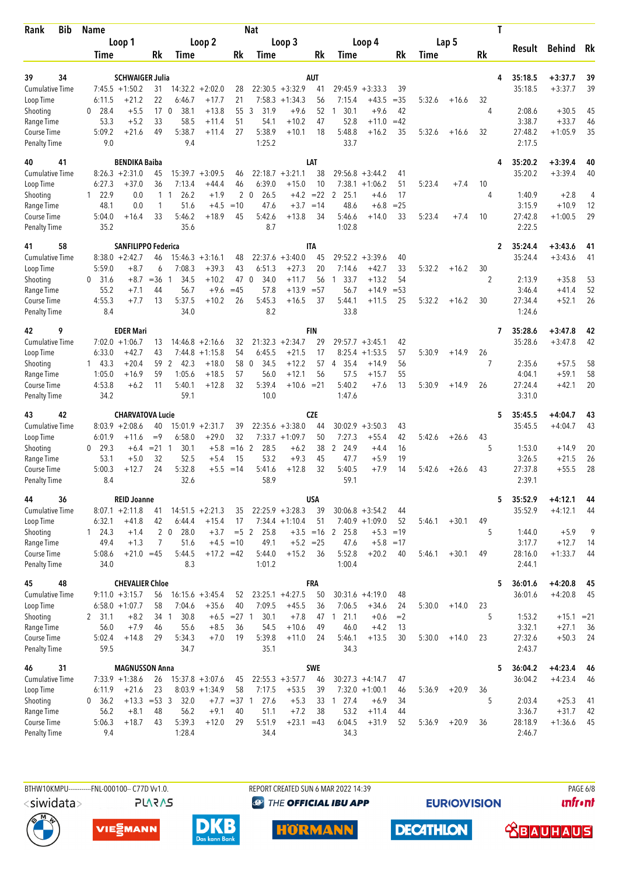| Bib<br>Rank                         | <b>Name</b>              |                             |                      |                             |                                        |               | <b>Nat</b>                   |                               |                |                             |                                 |             |        |         |                | T                 |                    |          |
|-------------------------------------|--------------------------|-----------------------------|----------------------|-----------------------------|----------------------------------------|---------------|------------------------------|-------------------------------|----------------|-----------------------------|---------------------------------|-------------|--------|---------|----------------|-------------------|--------------------|----------|
|                                     |                          | Loop 1                      |                      |                             | Loop 2                                 |               |                              | Loop 3                        |                |                             | Loop 4                          |             |        | Lap 5   |                | Result            | <b>Behind</b>      | Rk       |
|                                     | Time                     |                             | Rk                   | Time                        |                                        | Rk            | Time                         |                               | Rk             | Time                        |                                 | Rk          | Time   |         | Rk             |                   |                    |          |
| 39<br>34                            |                          | <b>SCHWAIGER Julia</b>      |                      |                             |                                        |               |                              |                               | <b>AUT</b>     |                             |                                 |             |        |         |                | 35:18.5<br>4      | $+3:37.7$          | 39       |
| <b>Cumulative Time</b>              |                          | $7:45.5 + 1:50.2$           | 31                   |                             | $14:32.2 + 2:02.0$                     | 28            |                              | $22:30.5 +3:32.9$             | 41             | 29:45.9                     | $+3:33.3$                       | 39          |        |         |                | 35:18.5           | $+3:37.7$          | 39       |
| Loop Time                           | 6:11.5                   | $+21.2$                     | 22                   | 6:46.7                      | $+17.7$                                | 21            |                              | $7:58.3 +1:34.3$              | 56             | 7:15.4                      | $+43.5$                         | $=35$       | 5:32.6 | $+16.6$ | 32             |                   |                    |          |
| Shooting                            | 28.4<br>0                | $+5.5$                      | 17                   | $\mathbf 0$<br>38.1         | $+13.8$                                | 55            | 3<br>31.9                    | $+9.6$                        | 52             | 30.1<br>1                   | $+9.6$                          | 42          |        |         | 4              | 2:08.6            | $+30.5$            | 45       |
| Range Time                          | 53.3                     | $+5.2$                      | 33                   | 58.5                        | $+11.4$                                | 51            | 54.1                         | $+10.2$                       | 47             | 52.8                        | $+11.0$                         | $=42$       |        |         |                | 3:38.7            | $+33.7$            | 46       |
| Course Time<br><b>Penalty Time</b>  | 5:09.2<br>9.0            | $+21.6$                     | 49                   | 5:38.7<br>9.4               | $+11.4$                                | 27            | 5:38.9<br>1:25.2             | $+10.1$                       | 18             | 5:48.8<br>33.7              | $+16.2$                         | 35          | 5:32.6 | $+16.6$ | 32             | 27:48.2<br>2:17.5 | $+1:05.9$          | 35       |
| 41<br>40                            |                          | <b>BENDIKA Baiba</b>        |                      |                             |                                        |               |                              |                               | LAT            |                             |                                 |             |        |         |                | 35:20.2<br>4      | $+3:39.4$          | 40       |
| <b>Cumulative Time</b>              |                          | $8:26.3 +2:31.0$            | 45                   |                             | $15:39.7 + 3:09.5$                     | 46            |                              | $22:18.7 + 3:21.1$            | 38             | 29:56.8                     | $+3:44.2$                       | 41          |        |         |                | 35:20.2           | $+3:39.4$          | 40       |
| Loop Time                           | 6:27.3                   | $+37.0$                     | 36                   | 7:13.4                      | $+44.4$                                | 46            | 6:39.0                       | $+15.0$                       | 10             |                             | $7:38.1 + 1:06.2$               | 51          | 5:23.4 | $+7.4$  | 10             |                   |                    |          |
| Shooting<br>Range Time              | 122.9<br>48.1            | 0.0<br>0.0                  | 1                    | 26.2<br>$1\quad1$<br>51.6   | $+1.9$<br>$+4.5$                       | 2<br>$=10$    | 26.5<br>$\mathbf{0}$<br>47.6 | $+4.2$<br>$+3.7$              | $=22$<br>$=14$ | 2<br>25.1<br>48.6           | $+4.6$<br>$+6.8$                | 17<br>$=25$ |        |         | 4              | 1:40.9<br>3:15.9  | $+2.8$<br>$+10.9$  | 4<br>12  |
| Course Time                         | 5:04.0                   | $+16.4$                     | 33                   | 5:46.2                      | $+18.9$                                | 45            | 5:42.6                       | $+13.8$                       | 34             | 5:46.6                      | $+14.0$                         | 33          | 5:23.4 | $+7.4$  | 10             | 27:42.8           | $+1:00.5$          | 29       |
| <b>Penalty Time</b>                 | 35.2                     |                             |                      | 35.6                        |                                        |               | 8.7                          |                               |                | 1:02.8                      |                                 |             |        |         |                | 2:22.5            |                    |          |
| 58<br>41                            |                          | <b>SANFILIPPO Federica</b>  |                      |                             |                                        |               |                              |                               | <b>ITA</b>     | 29:52.2                     |                                 |             |        |         |                | 35:24.4<br>2      | $+3:43.6$          | 41       |
| <b>Cumulative Time</b><br>Loop Time | 5:59.0                   | $8:38.0 + 2:42.7$<br>$+8.7$ | 46<br>6              | 15:46.3<br>7:08.3           | $+3:16.1$<br>$+39.3$                   | 48<br>43      | 22:37.6<br>6:51.3            | $+3:40.0$<br>$+27.3$          | 45<br>20       | 7:14.6                      | $+3:39.6$<br>$+42.7$            | 40<br>33    | 5:32.2 | $+16.2$ | 30             | 35:24.4           | $+3:43.6$          | 41       |
| Shooting                            | 0<br>31.6                | $+8.7$                      | $=36$                | 34.5<br>1                   | $+10.2$                                | 47            | $\mathbf 0$<br>34.0          | $+11.7$                       | 56             | 33.7<br>1                   | $+13.2$                         | 54          |        |         | $\overline{2}$ | 2:13.9            | $+35.8$            | 53       |
| Range Time                          | 55.2                     | $+7.1$                      | 44                   | 56.7                        | $+9.6$                                 | $=45$         | 57.8                         | $+13.9$                       | $= 57$         | 56.7                        | $+14.9$                         | $= 53$      |        |         |                | 3:46.4            | $+41.4$            | 52       |
| Course Time<br><b>Penalty Time</b>  | 4:55.3<br>8.4            | $+7.7$                      | 13                   | 5:37.5<br>34.0              | $+10.2$                                | 26            | 5:45.3<br>8.2                | $+16.5$                       | 37             | 5:44.1<br>33.8              | $+11.5$                         | 25          | 5:32.2 | $+16.2$ | 30             | 27:34.4<br>1:24.6 | $+52.1$            | 26       |
| 9<br>42                             |                          | <b>EDER Mari</b>            |                      |                             |                                        |               |                              |                               | <b>FIN</b>     |                             |                                 |             |        |         |                | 35:28.6<br>7      | $+3:47.8$          | 42       |
| <b>Cumulative Time</b>              |                          | $7:02.0 +1:06.7$            | 13                   |                             | $14:46.8 + 2:16.6$                     | 32            |                              | $21:32.3 +2:34.7$             | 29             | 29:57.7                     | $+3:45.1$                       | 42          |        |         |                | 35:28.6           | $+3:47.8$          | 42       |
| Loop Time                           | 6:33.0                   | $+42.7$                     | 43                   | 7:44.8                      | $+1:15.8$                              | 54            | 6:45.5                       | $+21.5$                       | 17             | 8:25.4                      | $+1:53.5$                       | 57          | 5:30.9 | $+14.9$ | 26             |                   |                    |          |
| Shooting                            | 143.3                    | $+20.4$                     | 59                   | 2<br>-42.3                  | $+18.0$                                | 58            | 34.5<br>$\mathbf 0$          | $+12.2$                       | 57             | 35.4<br>-4                  | $+14.9$                         | 56          |        |         | 7              | 2:35.6            | $+57.5$            | 58       |
| Range Time<br>Course Time           | 1:05.0<br>4:53.8         | $+16.9$<br>$+6.2$           | 59<br>11             | 1:05.6<br>5:40.1            | $+18.5$<br>$+12.8$                     | 57<br>32      | 56.0<br>5:39.4               | $+12.1$<br>$+10.6 = 21$       | 56             | 57.5<br>5:40.2              | $+15.7$<br>$+7.6$               | 55<br>13    | 5:30.9 | $+14.9$ | 26             | 4:04.1<br>27:24.4 | $+59.1$<br>$+42.1$ | 58<br>20 |
| <b>Penalty Time</b>                 | 34.2                     |                             |                      | 59.1                        |                                        |               | 10.0                         |                               |                | 1:47.6                      |                                 |             |        |         |                | 3:31.0            |                    |          |
| 42<br>43                            |                          | <b>CHARVATOVA Lucie</b>     |                      |                             |                                        |               |                              |                               | <b>CZE</b>     |                             |                                 |             |        |         |                | 5<br>35:45.5      | $+4:04.7$          | 43       |
| <b>Cumulative Time</b>              |                          | $8:03.9 +2:08.6$            | 40                   |                             | $15:01.9 +2:31.7$                      | 39            |                              | $22:35.6 + 3:38.0$            | 44             | 30:02.9                     | $+3:50.3$                       | 43          |        |         |                | 35:45.5           | $+4:04.7$          | 43       |
| Loop Time                           | 6:01.9                   | $+11.6$                     | $=9$                 | 6:58.0                      | $+29.0$                                | 32            |                              | $7:33.7 +1:09.7$              | 50<br>38       | 7:27.3<br>24.9              | $+55.4$                         | 42<br>16    | 5:42.6 | $+26.6$ | 43<br>5        |                   |                    |          |
| Shooting<br>Range Time              | 29.3<br>0<br>53.1        | $+6.4$<br>$+5.0$            | $= 21 \quad 1$<br>32 | 30.1<br>52.5                | $+5.8$<br>$+5.4$                       | $=16$ 2<br>15 | 28.5<br>53.2                 | $+6.2$<br>$+9.3$              | 45             | $\overline{2}$<br>47.7      | $+4.4$<br>$+5.9$                | 19          |        |         |                | 1:53.0<br>3:26.5  | $+14.9$<br>$+21.5$ | 20<br>26 |
| <b>Course Time</b>                  | 5:00.3                   | +12.7                       | 24                   | 5:32.8                      | $+5.5$                                 | $=14$         | 5:41.6                       | $+12.8$                       | 32             | 5:40.5                      | $+7.9$                          | 14          | 5:42.6 | $+26.6$ | 43             | 27:37.8           | $+55.5$            | 28       |
| <b>Penalty Time</b>                 | 8.4                      |                             |                      | 32.6                        |                                        |               | 58.9                         |                               |                | 59.1                        |                                 |             |        |         |                | 2:39.1            |                    |          |
| 36<br>44                            |                          | <b>REID Joanne</b>          |                      |                             |                                        |               |                              |                               | USA            |                             |                                 |             |        |         |                | 5<br>35:52.9      | $+4:12.1$          | 44       |
| <b>Cumulative Time</b>              |                          | $8:07.1 + 2:11.8$           | 41                   |                             | $14:51.5 + 2:21.3$                     | 35            |                              | $22:25.9 + 3:28.3$            | 39             | $30:06.8 + 3:54.2$          |                                 | 44          |        |         |                | 35:52.9           | $+4:12.1$          | 44       |
| Loop Time<br>Shooting               | 6:32.1<br>$1 \quad 24.3$ | $+41.8$<br>$+1.4$           | 42                   | 6:44.4<br>$2\quad0$<br>28.0 | $+15.4$<br>$+3.7$                      | 17<br>$= 5$ 2 | 25.8                         | $7:34.4 +1:10.4$              | 51             | $+3.5 = 16$ 2 25.8          | $7:40.9 +1:09.0$<br>$+5.3 = 19$ | 52          | 5:46.1 | $+30.1$ | 49<br>5        | 1:44.0            | $+5.9$             | 9        |
| Range Time                          | 49.4                     | $+1.3$                      | 7                    | 51.6                        |                                        | $+4.5 = 10$   | 49.1                         | $+5.2 = 25$                   |                | 47.6                        | $+5.8 = 17$                     |             |        |         |                | 3:17.7            | $+12.7$            | 14       |
| Course Time                         | 5:08.6                   | $+21.0 = 45$                |                      | 5:44.5                      | $+17.2 = 42$                           |               | 5:44.0                       | $+15.2$                       | 36             | 5:52.8                      | $+20.2$                         | 40          | 5:46.1 | $+30.1$ | 49             | 28:16.0           | $+1:33.7$          | 44       |
| <b>Penalty Time</b>                 | 34.0                     |                             |                      | 8.3                         |                                        |               | 1:01.2                       |                               |                | 1:00.4                      |                                 |             |        |         |                | 2:44.1            |                    |          |
| 48<br>45                            |                          | <b>CHEVALIER Chloe</b>      |                      |                             |                                        |               |                              |                               | <b>FRA</b>     |                             |                                 |             |        |         |                | 5<br>36:01.6      | $+4:20.8$          | 45       |
| Cumulative Time<br>Loop Time        |                          | $9:11.0 + 3:15.7$           | 56<br>58             | 7:04.6                      | $16:15.6 + 3:45.4$<br>$+35.6$          | 52<br>40      | 7:09.5                       | $23:25.1 +4:27.5$<br>$+45.5$  | 50<br>36       | $30:31.6 +4:19.0$<br>7:06.5 | $+34.6$                         | 48          |        | $+14.0$ | 23             | 36:01.6           | $+4:20.8$          | 45       |
| Shooting                            | 2, 31.1                  | $6:58.0 + 1:07.7$<br>$+8.2$ | 34 1                 | 30.8                        |                                        | $+6.5 = 27$ 1 | 30.1                         | $+7.8$                        | 47             | 21.1<br>$\overline{1}$      | $+0.6$                          | 24<br>$=2$  | 5:30.0 |         | 5              | 1:53.2            | $+15.1 = 21$       |          |
| Range Time                          | 56.0                     | $+7.9$                      | 46                   | 55.6                        | $+8.5$                                 | 36            | 54.5                         | $+10.6$                       | 49             | 46.0                        | $+4.2$                          | 13          |        |         |                | 3:32.1            | $+27.1$            | 36       |
| Course Time                         | 5:02.4                   | $+14.8$                     | 29                   | 5:34.3                      | $+7.0$                                 | 19            | 5:39.8                       | $+11.0$                       | 24             | 5:46.1                      | $+13.5$                         | 30          | 5:30.0 | $+14.0$ | 23             | 27:32.6           | $+50.3$            | 24       |
| <b>Penalty Time</b>                 | 59.5                     |                             |                      | 34.7                        |                                        |               | 35.1                         |                               |                | 34.3                        |                                 |             |        |         |                | 2:43.7            |                    |          |
| 31<br>46                            |                          | <b>MAGNUSSON Anna</b>       |                      |                             |                                        |               |                              |                               | SWE            |                             |                                 |             |        |         |                | 36:04.2<br>5      | $+4:23.4$          | 46       |
| <b>Cumulative Time</b><br>Loop Time | 6:11.9                   | $7:33.9 +1:38.6$<br>$+21.6$ | 26<br>23             |                             | $15:37.8 + 3:07.6$<br>$8:03.9 +1:34.9$ | 45<br>58      | 7:17.5                       | $22:55.3 + 3:57.7$<br>$+53.5$ | 46<br>39       | $30:27.3 +4:14.7$           | $7:32.0 +1:00.1$                | 47<br>46    | 5:36.9 | $+20.9$ | 36             | 36:04.2           | $+4:23.4$          | 46       |
| Shooting                            | 0, 36.2                  | $+13.3$                     | $= 53 \quad 3$       | 32.0                        |                                        | $+7.7 = 37$ 1 | 27.6                         | $+5.3$                        | 33             | $1 \t27.4$                  | $+6.9$                          | 34          |        |         | 5              | 2:03.4            | $+25.3$            | 41       |
| Range Time                          | 56.2                     | $+8.1$                      | 48                   | 56.2                        | $+9.1$                                 | 40            | 51.1                         | $+7.2$                        | 38             | 53.2                        | $+11.4$                         | 44          |        |         |                | 3:36.7            | $+31.7$            | 42       |
| Course Time                         | 5:06.3                   | $+18.7$                     | 43                   | 5:39.3                      | $+12.0$                                | 29            | 5:51.9                       | $+23.1 = 43$                  |                | 6:04.5                      | $+31.9$                         | 52          | 5:36.9 | $+20.9$ | 36             | 28:18.9           | $+1:36.6$          | 45       |
| <b>Penalty Time</b>                 | 9.4                      |                             |                      | 1:28.4                      |                                        |               | 34.4                         |                               |                | 34.3                        |                                 |             |        |         |                | 2:46.7            |                    |          |

**PLARAS** 

BTHW10KMPU-----------FNL-000100-- C77D W1.0. REPORT CREATED SUN 6 MAR 2022 14:39 RAGE 6/8 **<sup><sup>3</sup>** THE OFFICIAL IBU APP</sup>

**EURIOVISION** 

*<u><u>Infront</u>*</u>







**HÖRMANN** 



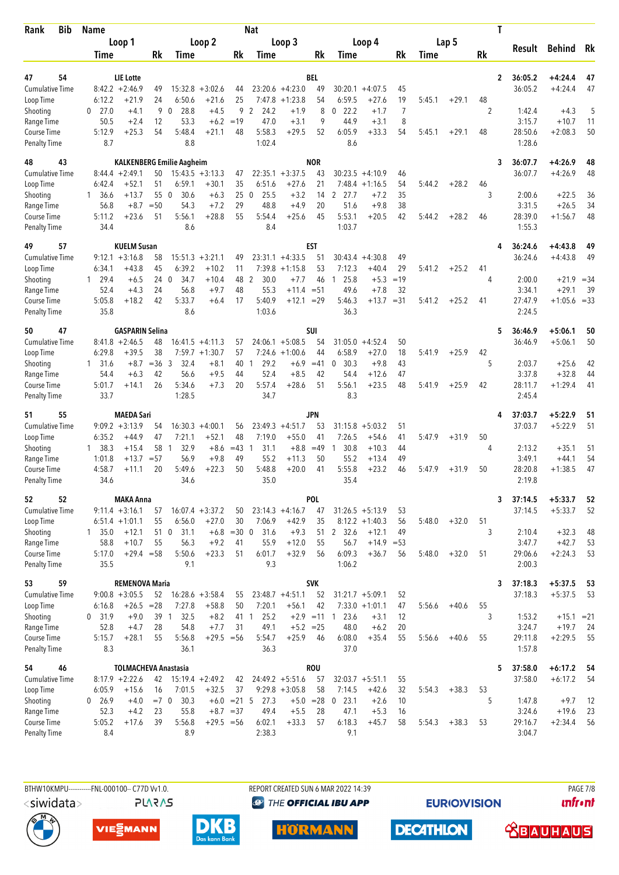| Rank                                | <b>Bib</b> | <b>Name</b>            |                              |                |                                  |                      |                     | <b>Nat</b>                  |                                 |                   |                                |                         |                |        |         | T            |                   |                         |          |
|-------------------------------------|------------|------------------------|------------------------------|----------------|----------------------------------|----------------------|---------------------|-----------------------------|---------------------------------|-------------------|--------------------------------|-------------------------|----------------|--------|---------|--------------|-------------------|-------------------------|----------|
|                                     |            |                        | Loop 1                       |                |                                  | Loop 2               |                     |                             | Loop 3                          |                   |                                | Loop 4                  |                |        | Lap 5   |              | Result            | <b>Behind</b>           | Rk       |
|                                     |            | Time                   |                              | Rk             | Time                             |                      | Rk                  | Time                        |                                 | Rk                | Time                           |                         | Rk             | Time   |         | Rk           |                   |                         |          |
| 47                                  | 54         |                        | <b>LIE</b> Lotte             |                |                                  |                      |                     |                             |                                 | BEL               |                                |                         |                |        |         | $\mathbf{2}$ | 36:05.2           | $+4:24.4$               | 47       |
| <b>Cumulative Time</b>              |            |                        | $8:42.2 + 2:46.9$            | 49             |                                  | $15:32.8 + 3:02.6$   | 44                  |                             | $23:20.6 +4:23.0$               | 49                | 30:20.1                        | $+4:07.5$               | 45             |        |         |              | 36:05.2           | $+4:24.4$               | 47       |
| Loop Time                           |            | 6:12.2                 | $+21.9$                      | 24             | 6:50.6                           | $+21.6$              | 25                  | 7:47.8                      | $+1:23.8$                       | 54                | 6:59.5                         | $+27.6$                 | 19             | 5:45.1 | $+29.1$ | 48           |                   |                         |          |
| Shooting                            |            | 0<br>27.0              | $+4.1$                       | 9              | 28.8<br>$\mathbf{0}$             | $+4.5$               | 9                   | 2<br>24.2                   | $+1.9$                          | 8                 | 22.2<br>0                      | $+1.7$                  | $\overline{7}$ |        |         | 2            | 1:42.4            | $+4.3$                  | 5        |
| Range Time                          |            | 50.5                   | $+2.4$                       | 12             | 53.3                             | $+6.2$               | $=19$               | 47.0                        | $+3.1$                          | 9                 | 44.9                           | $+3.1$                  | 8              |        |         |              | 3:15.7            | $+10.7$                 | 11       |
| Course Time<br><b>Penalty Time</b>  |            | 5:12.9<br>8.7          | $+25.3$                      | 54             | 5:48.4<br>8.8                    | $+21.1$              | 48                  | 5:58.3<br>1:02.4            | $+29.5$                         | 52                | 6:05.9<br>8.6                  | $+33.3$                 | 54             | 5:45.1 | $+29.1$ | 48           | 28:50.6<br>1:28.6 | $+2:08.3$               | 50       |
| 48                                  | 43         |                        |                              |                | <b>KALKENBERG Emilie Aagheim</b> |                      |                     |                             |                                 | <b>NOR</b>        |                                |                         |                |        |         | 3            | 36:07.7           | $+4:26.9$               | 48       |
| <b>Cumulative Time</b>              |            |                        | $8:44.4 + 2:49.1$            | 50             |                                  | $15:43.5 + 3:13.3$   | 47                  |                             | $22:35.1 + 3:37.5$              | 43                | 30:23.5                        | $+4:10.9$               | 46             |        |         |              | 36:07.7           | $+4:26.9$               | 48       |
| Loop Time                           |            | 6:42.4                 | $+52.1$                      | 51             | 6:59.1                           | $+30.1$              | 35                  | 6:51.6                      | $+27.6$                         | 21                |                                | $7:48.4 +1:16.5$        | 54             | 5:44.2 | $+28.2$ | 46           |                   |                         |          |
| Shooting                            |            | 36.6<br>1              | $+13.7$                      | 55             | 30.6<br>$\overline{0}$           | $+6.3$               | 25<br>29            | 25.5<br>$\mathbf 0$<br>48.8 | $+3.2$<br>$+4.9$                | 14                | 2 27.7<br>51.6                 | $+7.2$                  | 35             |        |         | 3            | 2:00.6            | $+22.5$                 | 36       |
| Range Time<br>Course Time           |            | 56.8<br>5:11.2         | $+8.7$<br>$+23.6$            | $=50$<br>51    | 54.3<br>5:56.1                   | $+7.2$<br>$+28.8$    | 55                  | 5:54.4                      | $+25.6$                         | 20<br>45          | 5:53.1                         | $+9.8$<br>$+20.5$       | 38<br>42       | 5:44.2 | $+28.2$ | 46           | 3:31.5<br>28:39.0 | $+26.5$<br>$+1:56.7$    | 34<br>48 |
| <b>Penalty Time</b>                 |            | 34.4                   |                              |                | 8.6                              |                      |                     | 8.4                         |                                 |                   | 1:03.7                         |                         |                |        |         |              | 1:55.3            |                         |          |
| 49                                  | 57         |                        | <b>KUELM Susan</b>           |                |                                  |                      |                     |                             |                                 | EST               |                                |                         |                |        |         | 4            | 36:24.6           | $+4:43.8$               | 49       |
| <b>Cumulative Time</b><br>Loop Time |            | 6:34.1                 | $9:12.1 + 3:16.8$<br>$+43.8$ | 58<br>45       | 15:51.3<br>6:39.2                | $+3:21.1$<br>$+10.2$ | 49<br>11            | 7:39.8                      | $23:31.1 + 4:33.5$<br>$+1:15.8$ | 51<br>53          | 30:43.4<br>7:12.3              | $+4:30.8$<br>$+40.4$    | 49<br>29       | 5:41.2 | $+25.2$ | 41           | 36:24.6           | $+4:43.8$               | 49       |
| Shooting                            |            | 29.4<br>1              | $+6.5$                       | 24 0           | 34.7                             | $+10.4$              | 48                  | $\overline{2}$<br>30.0      | $+7.7$                          | 46                | 25.8<br>1                      | $+5.3$                  | $=19$          |        |         | 4            | 2:00.0            | $+21.9$                 | $=34$    |
| Range Time                          |            | 52.4                   | $+4.3$                       | 24             | 56.8                             | $+9.7$               | 48                  | 55.3                        | $+11.4 = 51$                    |                   | 49.6                           | $+7.8$                  | 32             |        |         |              | 3:34.1            | $+29.1$                 | 39       |
| Course Time                         |            | 5:05.8                 | $+18.2$                      | 42             | 5:33.7                           | $+6.4$               | 17                  | 5:40.9                      | $+12.1 = 29$                    |                   | 5:46.3                         | $+13.7 = 31$            |                | 5:41.2 | $+25.2$ | 41           | 27:47.9           | $+1:05.6 = 33$          |          |
| <b>Penalty Time</b>                 |            | 35.8                   |                              |                | 8.6                              |                      |                     | 1:03.6                      |                                 |                   | 36.3                           |                         |                |        |         |              | 2:24.5            |                         |          |
| 50                                  | 47         |                        | <b>GASPARIN Selina</b>       |                |                                  |                      |                     |                             |                                 | SUI               |                                |                         |                |        |         | 5            | 36:46.9           | $+5:06.1$               | 50       |
| <b>Cumulative Time</b>              |            |                        | $8:41.8 + 2:46.5$            | 48             |                                  | $16:41.5 +4:11.3$    | 57                  |                             | $24:06.1 + 5:08.5$              | 54                | 31:05.0                        | $+4:52.4$               | 50             |        |         |              | 36:46.9           | $+5:06.1$               | 50       |
| Loop Time                           |            | 6:29.8                 | $+39.5$                      | 38             | 7:59.7                           | $+1:30.7$            | 57                  | 7:24.6                      | $+1:00.6$                       | 44                | 6:58.9                         | $+27.0$                 | 18             | 5:41.9 | $+25.9$ | 42           |                   |                         |          |
| Shooting<br>Range Time              |            | $1 \quad 31.6$<br>54.4 | $+8.7$<br>$+6.3$             | $=36$ 3<br>42  | 32.4<br>56.6                     | $+8.1$<br>$+9.5$     | 40<br>44            | 29.2<br>1<br>52.4           | $+6.9$<br>$+8.5$                | $=41$<br>42       | 30.3<br>$\mathbf{0}$<br>54.4   | $+9.8$<br>$+12.6$       | 43<br>47       |        |         | 5            | 2:03.7<br>3:37.8  | $+25.6$<br>$+32.8$      | 42<br>44 |
| Course Time                         |            | 5:01.7                 | $+14.1$                      | 26             | 5:34.6                           | $+7.3$               | 20                  | 5:57.4                      | $+28.6$                         | 51                | 5:56.1                         | $+23.5$                 | 48             | 5:41.9 | $+25.9$ | 42           | 28:11.7           | $+1:29.4$               | 41       |
| <b>Penalty Time</b>                 |            | 33.7                   |                              |                | 1:28.5                           |                      |                     | 34.7                        |                                 |                   | 8.3                            |                         |                |        |         |              | 2:45.4            |                         |          |
| 51                                  | 55         |                        | <b>MAEDA Sari</b>            |                |                                  |                      |                     |                             |                                 | JPN               |                                |                         |                |        |         | 4            | 37:03.7           | $+5:22.9$               | 51       |
| <b>Cumulative Time</b>              |            |                        | $9:09.2 +3:13.9$             | 54             |                                  | $16:30.3 +4:00.1$    | 56                  |                             | $23:49.3 +4:51.7$               | 53                | 31:15.8                        | $+5:03.2$               | 51             |        |         |              | 37:03.7           | $+5:22.9$               | 51       |
| Loop Time                           |            | 6:35.2                 | $+44.9$                      | 47             | 7:21.1                           | $+52.1$              | 48                  | 7:19.0                      | $+55.0$                         | 41                | 7:26.5                         | $+54.6$                 | 41             | 5:47.9 | $+31.9$ | 50           |                   |                         |          |
| Shooting<br>Range Time              |            | 1, 38.3<br>1:01.8      | $+15.4$<br>$+13.7$           | 58<br>$= 57$   | 32.9<br>-1<br>56.9               | $+8.6$<br>$+9.8$     | $=43$<br>49         | 31.1<br>-1<br>55.2          | $+8.8$<br>$+11.3$               | $=49$<br>50       | 30.8<br>$\overline{1}$<br>55.2 | $+10.3$<br>$+13.4$      | 44<br>49       |        |         | 4            | 2:13.2<br>3:49.1  | $+35.1$<br>$+44.1$      | 51<br>54 |
| <b>Course Time</b>                  |            | 4:58.7                 | $+11.1$                      | 20             | 5:49.6                           | $+22.3$              | 50                  | 5:48.8                      | $+20.0$                         | 41                | 5:55.8                         | $+23.2$                 | 46             | 5:47.9 | $+31.9$ | 50           | 28:20.8           | $+1:38.5$               | 47       |
| <b>Penalty Time</b>                 |            | 34.6                   |                              |                | 34.6                             |                      |                     | 35.0                        |                                 |                   | 35.4                           |                         |                |        |         |              | 2:19.8            |                         |          |
| 52                                  | 52         |                        | <b>MAKA Anna</b>             |                |                                  |                      |                     |                             |                                 | POL               |                                |                         |                |        |         | 3            | 37:14.5           | $+5:33.7$               | 52       |
| <b>Cumulative Time</b>              |            |                        | $9:11.4 + 3:16.1$            | 57             |                                  | $16:07.4 + 3:37.2$   | 50                  |                             | $23:14.3 +4:16.7$               | 47                |                                | $31:26.5 + 5:13.9$      | 53             |        |         |              | 37:14.5           | $+5:33.7$               | 52       |
| Loop Time                           |            |                        | $6:51.4 +1:01.1$             | 55             | 6:56.0                           | $+27.0$              | 30                  | 7:06.9                      | $+42.9$                         | 35                |                                | $8:12.2 +1:40.3$        | 56             | 5:48.0 | $+32.0$ | 51           |                   |                         |          |
| Shooting                            |            | $1 \quad 35.0$         | $+12.1$                      |                | 51 0 31.1                        |                      | $+6.8 = 30 0$       | 31.6                        | $+9.3$                          | 51                | 2 32.6                         | $+12.1$                 | 49             |        |         | 3            | 2:10.4            | $+32.3$                 | 48       |
| Range Time<br>Course Time           |            | 58.8<br>5:17.0         | $+10.7$<br>$+29.4 = 58$      | 55             | 56.3<br>5:50.6                   | $+9.2$<br>$+23.3$    | 41<br>51            | 55.9<br>6:01.7              | $+12.0$<br>$+32.9$              | 55<br>56          | 56.7<br>6:09.3                 | $+14.9 = 53$<br>$+36.7$ | 56             | 5:48.0 | $+32.0$ | 51           | 3:47.7<br>29:06.6 | $+42.7$<br>$+2:24.3$    | 53<br>53 |
| <b>Penalty Time</b>                 |            | 35.5                   |                              |                | 9.1                              |                      |                     | 9.3                         |                                 |                   | 1:06.2                         |                         |                |        |         |              | 2:00.3            |                         |          |
| 53                                  | 59         |                        | <b>REMENOVA Maria</b>        |                |                                  |                      |                     |                             |                                 | <b>SVK</b>        |                                |                         |                |        |         | 3            | 37:18.3           | $+5:37.5$               | 53       |
| Cumulative Time                     |            |                        | $9:00.8 + 3:05.5$            | 52             |                                  | $16:28.6 + 3:58.4$   | 55                  |                             | $23:48.7 +4:51.1$               | 52                |                                | $31:21.7 + 5:09.1$      | 52             |        |         |              | 37:18.3           | $+5:37.5$               | 53       |
| Loop Time                           |            | 6:16.8                 | $+26.5$                      | $= 28$<br>39 1 | 7:27.8                           | $+58.8$              | 50                  | 7:20.1                      | $+56.1$                         | 42                | 23.6                           | $7:33.0 +1:01.1$        | 47             | 5:56.6 | $+40.6$ | 55           |                   |                         |          |
| Shooting<br>Range Time              |            | 0, 31.9<br>52.8        | $+9.0$<br>$+4.7$             | 28             | 32.5<br>54.8                     | $+8.2$<br>$+7.7$     | 41 1<br>31          | 25.2<br>49.1                | $+5.2 = 25$                     | $+2.9 = 11$       | $\overline{1}$<br>48.0         | $+3.1$<br>$+6.2$        | 12<br>20       |        |         | 3            | 1:53.2<br>3:24.7  | $+15.1 = 21$<br>$+19.7$ | 24       |
| Course Time                         |            | 5:15.7                 | $+28.1$                      | 55             | 5:56.8                           | $+29.5 = 56$         |                     | 5:54.7                      | $+25.9$                         | 46                | 6:08.0                         | $+35.4$                 | 55             | 5:56.6 | $+40.6$ | 55           | 29:11.8           | $+2:29.5$               | 55       |
| <b>Penalty Time</b>                 |            | 8.3                    |                              |                | 36.1                             |                      |                     | 36.3                        |                                 |                   | 37.0                           |                         |                |        |         |              | 1:57.8            |                         |          |
| 54                                  | 46         |                        | <b>TOLMACHEVA Anastasia</b>  |                |                                  |                      |                     |                             |                                 | <b>ROU</b>        |                                |                         |                |        |         | 5            | 37:58.0           | $+6:17.2$               | 54       |
| <b>Cumulative Time</b>              |            |                        | $8:17.9 +2:22.6$             | 42             |                                  | $15:19.4 + 2:49.2$   | 42                  |                             | $24:49.2 + 5:51.6$              | 57                |                                | $32:03.7 + 5:51.1$      | 55             |        |         |              | 37:58.0           | $+6:17.2$               | 54       |
| Loop Time<br>Shooting               |            | 6:05.9<br>0, 26.9      | $+15.6$<br>$+4.0$            | 16<br>$=7$ 0   | 7:01.5<br>30.3                   | $+32.5$              | 37<br>$+6.0 = 21.5$ | 27.3                        | $9:29.8 + 3:05.8$               | 58<br>$+5.0 = 28$ | 7:14.5<br>$0$ 23.1             | $+42.6$<br>$+2.6$       | 32<br>10       | 5:54.3 | $+38.3$ | 53<br>5      | 1:47.8            | $+9.7$                  | 12       |
| Range Time                          |            | 52.3                   | $+4.2$                       | 23             | 55.8                             |                      | $+8.7 = 37$         | 49.4                        | $+5.5$                          | 28                | 47.1                           | $+5.3$                  | 16             |        |         |              | 3:24.6            | $+19.6$                 | 23       |
| Course Time                         |            | 5:05.2                 | $+17.6$                      | 39             | 5:56.8                           | $+29.5 = 56$         |                     | 6:02.1                      | $+33.3$                         | 57                | 6:18.3                         | $+45.7$                 | 58             | 5:54.3 | $+38.3$ | 53           | 29:16.7           | $+2:34.4$               | 56       |
| <b>Penalty Time</b>                 |            | 8.4                    |                              |                | 8.9                              |                      |                     | 2:38.3                      |                                 |                   | 9.1                            |                         |                |        |         |              | 3:04.7            |                         |          |

**PLARAS** 

BTHW10KMPU-----------FNL-000100-- C77D W1.0. REPORT CREATED SUN 6 MAR 2022 14:39 REPORT CREATED SUN 6 MAR 2022 14:39 **<sup><sup>3</sup>** THE OFFICIAL IBU APP</sup>

**EURIOVISION** 

*<u><u>Infront</u>*</u>

 **<u>CBAUHAUS</u>** 







**HÖRMANN**